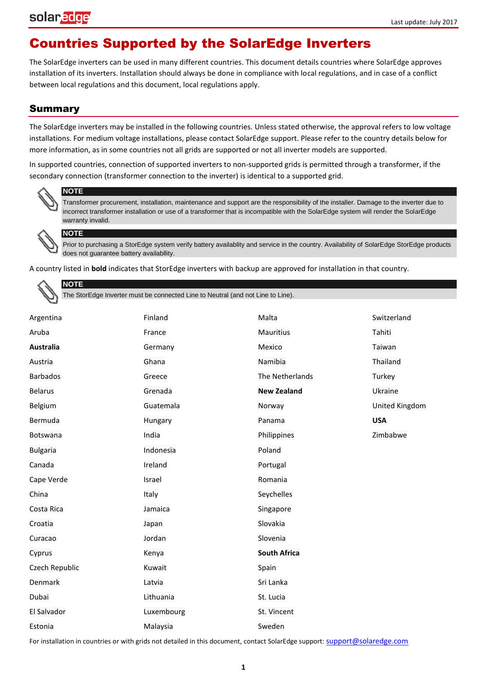#### Countries Supported by the SolarEdge Inverters

The SolarEdge inverters can be used in many different countries. This document details countries where SolarEdge approves installation of its inverters. Installation should always be done in compliance with local regulations, and in case of a conflict between local regulations and this document, local regulations apply.

#### Summary

The SolarEdge inverters may be installed in the following countries. Unless stated otherwise, the approval refers to low voltage installations. For medium voltage installations, please contact SolarEdge support. Please refer to the country details below for more information, as in some countries not all grids are supported or not all inverter models are supported.

In supported countries, connection of supported inverters to non-supported grids is permitted through a transformer, if the secondary connection (transformer connection to the inverter) is identical to a supported grid.



#### **NOTE**

Transformer procurement, installation, maintenance and support are the responsibility of the installer. Damage to the inverter due to incorrect transformer installation or use of a transformer that is incompatible with the SolarEdge system will render the SolarEdge warranty invalid.

#### **NOTE**

Prior to purchasing a StorEdge system verify battery availablity and service in the country. Availability of SolarEdge StorEdge products does not guarantee battery availabllity.

A country listed in **bold** indicates that StorEdge inverters with backup are approved for installation in that country.

#### **NOTE**

The StorEdge Inverter must be connected Line to Neutral (and not Line to Line).

| Argentina        | Finland    | Malta               | Switzerland    |
|------------------|------------|---------------------|----------------|
| Aruba            | France     | <b>Mauritius</b>    | Tahiti         |
| <b>Australia</b> | Germany    | Mexico              | Taiwan         |
| Austria          | Ghana      | Namibia             | Thailand       |
| <b>Barbados</b>  | Greece     | The Netherlands     | Turkey         |
| <b>Belarus</b>   | Grenada    | <b>New Zealand</b>  | Ukraine        |
| Belgium          | Guatemala  | Norway              | United Kingdom |
| Bermuda          | Hungary    | Panama              | <b>USA</b>     |
| Botswana         | India      | Philippines         | Zimbabwe       |
| <b>Bulgaria</b>  | Indonesia  | Poland              |                |
| Canada           | Ireland    | Portugal            |                |
| Cape Verde       | Israel     | Romania             |                |
| China            | Italy      | Seychelles          |                |
| Costa Rica       | Jamaica    | Singapore           |                |
| Croatia          | Japan      | Slovakia            |                |
| Curacao          | Jordan     | Slovenia            |                |
| Cyprus           | Kenya      | <b>South Africa</b> |                |
| Czech Republic   | Kuwait     | Spain               |                |
| Denmark          | Latvia     | Sri Lanka           |                |
| Dubai            | Lithuania  | St. Lucia           |                |
| El Salvador      | Luxembourg | St. Vincent         |                |
| Estonia          | Malaysia   | Sweden              |                |

For installation in countries or with grids not detailed in this document, contact SolarEdge support: [support@solaredge.com](mailto:support@solaredge.com)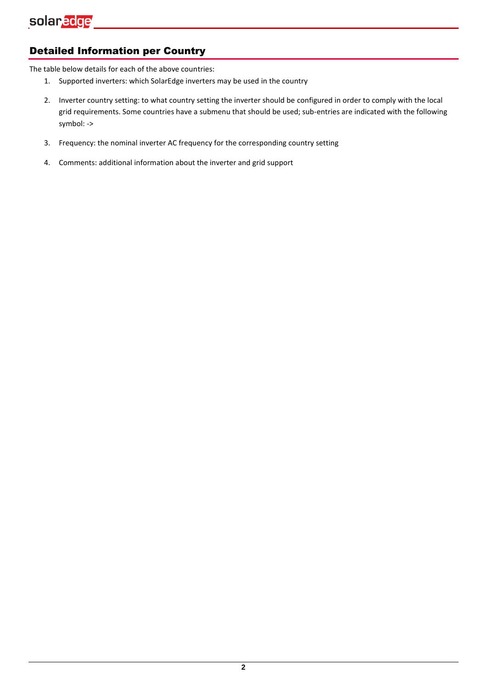#### Detailed Information per Country

The table below details for each of the above countries:

- 1. Supported inverters: which SolarEdge inverters may be used in the country
- 2. Inverter country setting: to what country setting the inverter should be configured in order to comply with the local grid requirements. Some countries have a submenu that should be used; sub-entries are indicated with the following symbol: ->
- 3. Frequency: the nominal inverter AC frequency for the corresponding country setting
- 4. Comments: additional information about the inverter and grid support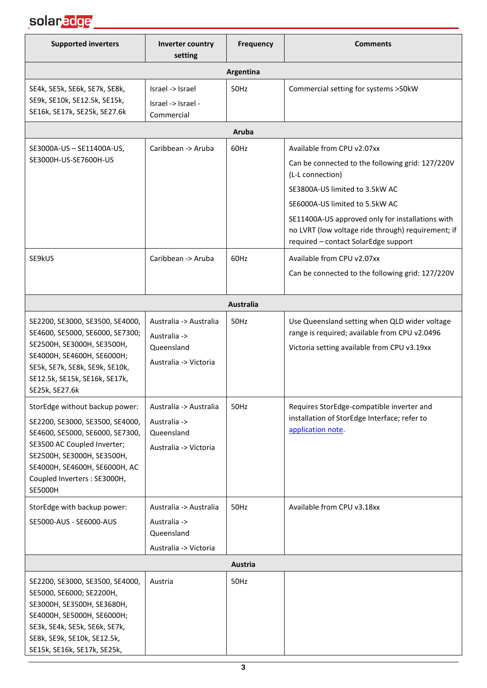

| <b>Supported inverters</b>                                                                                                                                                                                                                           | Inverter country<br>setting                                                   | <b>Frequency</b> | <b>Comments</b>                                                                                                                                                                                                                                                                                                          |
|------------------------------------------------------------------------------------------------------------------------------------------------------------------------------------------------------------------------------------------------------|-------------------------------------------------------------------------------|------------------|--------------------------------------------------------------------------------------------------------------------------------------------------------------------------------------------------------------------------------------------------------------------------------------------------------------------------|
|                                                                                                                                                                                                                                                      |                                                                               | Argentina        |                                                                                                                                                                                                                                                                                                                          |
| SE4k, SE5k, SE6k, SE7k, SE8k,<br>SE9k, SE10k, SE12.5k, SE15k,<br>SE16k, SE17k, SE25k, SE27.6k                                                                                                                                                        | Israel -> Israel<br>Israel -> Israel -<br>Commercial                          | 50Hz             | Commercial setting for systems >50kW                                                                                                                                                                                                                                                                                     |
|                                                                                                                                                                                                                                                      |                                                                               | Aruba            |                                                                                                                                                                                                                                                                                                                          |
| SE3000A-US - SE11400A-US,<br>SE3000H-US-SE7600H-US                                                                                                                                                                                                   | Caribbean -> Aruba                                                            | 60Hz             | Available from CPU v2.07xx<br>Can be connected to the following grid: 127/220V<br>(L-L connection)<br>SE3800A-US limited to 3.5kW AC<br>SE6000A-US limited to 5.5kW AC<br>SE11400A-US approved only for installations with<br>no LVRT (low voltage ride through) requirement; if<br>required - contact SolarEdge support |
| SE9kUS                                                                                                                                                                                                                                               | Caribbean -> Aruba                                                            | 60Hz             | Available from CPU v2.07xx<br>Can be connected to the following grid: 127/220V                                                                                                                                                                                                                                           |
|                                                                                                                                                                                                                                                      |                                                                               | Australia        |                                                                                                                                                                                                                                                                                                                          |
| SE2200, SE3000, SE3500, SE4000,<br>SE4600, SE5000, SE6000, SE7300;<br>SE2500H, SE3000H, SE3500H,<br>SE4000H, SE4600H, SE6000H;<br>SE5k, SE7k, SE8k, SE9k, SE10k,<br>SE12.5k, SE15k, SE16k, SE17k,<br>SE25k, SE27.6k                                  | Australia -> Australia<br>Australia -><br>Queensland<br>Australia -> Victoria | 50Hz             | Use Queensland setting when QLD wider voltage<br>range is required; available from CPU v2.0496<br>Victoria setting available from CPU v3.19xx                                                                                                                                                                            |
| StorEdge without backup power:<br>SE2200, SE3000, SE3500, SE4000,<br>SE4600, SE5000, SE6000, SE7300,<br>SE3500 AC Coupled Inverter;<br>SE2500H, SE3000H, SE3500H,<br>SE4000H, SE4600H, SE6000H, AC<br>Coupled Inverters : SE3000H,<br><b>SE5000H</b> | Australia -> Australia<br>Australia -><br>Queensland<br>Australia -> Victoria | 50Hz             | Requires StorEdge-compatible inverter and<br>installation of StorEdge Interface; refer to<br>application note.                                                                                                                                                                                                           |
| StorEdge with backup power:<br>SE5000-AUS - SE6000-AUS                                                                                                                                                                                               | Australia -> Australia<br>Australia -><br>Queensland<br>Australia -> Victoria | 50Hz             | Available from CPU v3.18xx                                                                                                                                                                                                                                                                                               |
|                                                                                                                                                                                                                                                      |                                                                               | Austria          |                                                                                                                                                                                                                                                                                                                          |
| SE2200, SE3000, SE3500, SE4000,<br>SE5000, SE6000; SE2200H,<br>SE3000H, SE3500H, SE3680H,<br>SE4000H, SE5000H, SE6000H;<br>SE3k, SE4k, SE5k, SE6k, SE7k,<br>SE8k, SE9k, SE10k, SE12.5k,<br>SE15k, SE16k, SE17k, SE25k,                               | Austria                                                                       | 50Hz             |                                                                                                                                                                                                                                                                                                                          |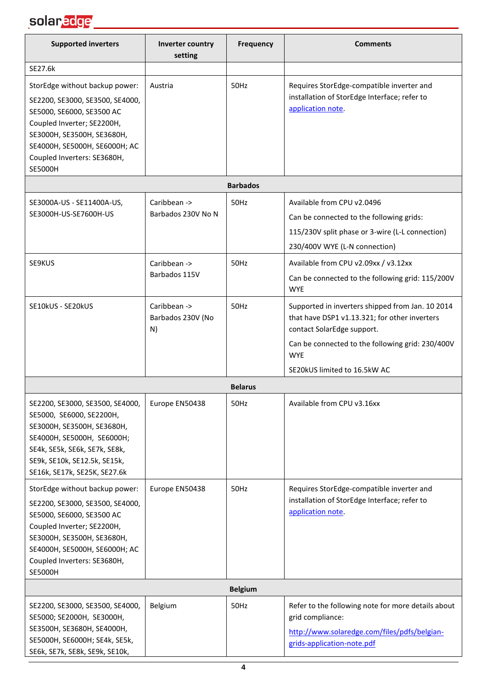

| <b>Supported inverters</b>                                                                                                                                                                                                                   | Inverter country<br>setting             | <b>Frequency</b> | <b>Comments</b>                                                                                                                                                                                                                   |
|----------------------------------------------------------------------------------------------------------------------------------------------------------------------------------------------------------------------------------------------|-----------------------------------------|------------------|-----------------------------------------------------------------------------------------------------------------------------------------------------------------------------------------------------------------------------------|
| SE27.6k                                                                                                                                                                                                                                      |                                         |                  |                                                                                                                                                                                                                                   |
| StorEdge without backup power:<br>SE2200, SE3000, SE3500, SE4000,<br>SE5000, SE6000, SE3500 AC<br>Coupled Inverter; SE2200H,<br>SE3000H, SE3500H, SE3680H,<br>SE4000H, SE5000H, SE6000H; AC<br>Coupled Inverters: SE3680H,<br><b>SE5000H</b> | Austria                                 | 50Hz             | Requires StorEdge-compatible inverter and<br>installation of StorEdge Interface; refer to<br>application note.                                                                                                                    |
|                                                                                                                                                                                                                                              |                                         | <b>Barbados</b>  |                                                                                                                                                                                                                                   |
| SE3000A-US - SE11400A-US,<br>SE3000H-US-SE7600H-US                                                                                                                                                                                           | Caribbean -><br>Barbados 230V No N      | 50Hz             | Available from CPU v2.0496<br>Can be connected to the following grids:<br>115/230V split phase or 3-wire (L-L connection)<br>230/400V WYE (L-N connection)                                                                        |
| SE9KUS                                                                                                                                                                                                                                       | Caribbean -><br>Barbados 115V           | 50Hz             | Available from CPU v2.09xx / v3.12xx<br>Can be connected to the following grid: 115/200V<br><b>WYE</b>                                                                                                                            |
| SE10kUS - SE20kUS                                                                                                                                                                                                                            | Caribbean -><br>Barbados 230V (No<br>N) | 50Hz             | Supported in inverters shipped from Jan. 10 2014<br>that have DSP1 v1.13.321; for other inverters<br>contact SolarEdge support.<br>Can be connected to the following grid: 230/400V<br><b>WYE</b><br>SE20kUS limited to 16.5kW AC |
|                                                                                                                                                                                                                                              |                                         | <b>Belarus</b>   |                                                                                                                                                                                                                                   |
| SE2200, SE3000, SE3500, SE4000,<br>SE5000, SE6000, SE2200H,<br>SE3000H, SE3500H, SE3680H,<br>SE4000H, SE5000H, SE6000H;<br>SE4k, SE5k, SE6k, SE7k, SE8k,<br>SE9k, SE10k, SE12.5k, SE15k,<br>SE16k, SE17k, SE25K, SE27.6k                     | Europe EN50438                          | 50Hz             | Available from CPU v3.16xx                                                                                                                                                                                                        |
| StorEdge without backup power:<br>SE2200, SE3000, SE3500, SE4000,<br>SE5000, SE6000, SE3500 AC<br>Coupled Inverter; SE2200H,<br>SE3000H, SE3500H, SE3680H,<br>SE4000H, SE5000H, SE6000H; AC<br>Coupled Inverters: SE3680H,<br><b>SE5000H</b> | Europe EN50438                          | 50Hz             | Requires StorEdge-compatible inverter and<br>installation of StorEdge Interface; refer to<br>application note.                                                                                                                    |
|                                                                                                                                                                                                                                              |                                         | <b>Belgium</b>   |                                                                                                                                                                                                                                   |
| SE2200, SE3000, SE3500, SE4000,<br>SE5000; SE2000H, SE3000H,<br>SE3500H, SE3680H, SE4000H,<br>SE5000H, SE6000H; SE4k, SE5k,<br>SE6k, SE7k, SE8k, SE9k, SE10k,                                                                                | Belgium                                 | 50Hz             | Refer to the following note for more details about<br>grid compliance:<br>http://www.solaredge.com/files/pdfs/belgian-<br>grids-application-note.pdf                                                                              |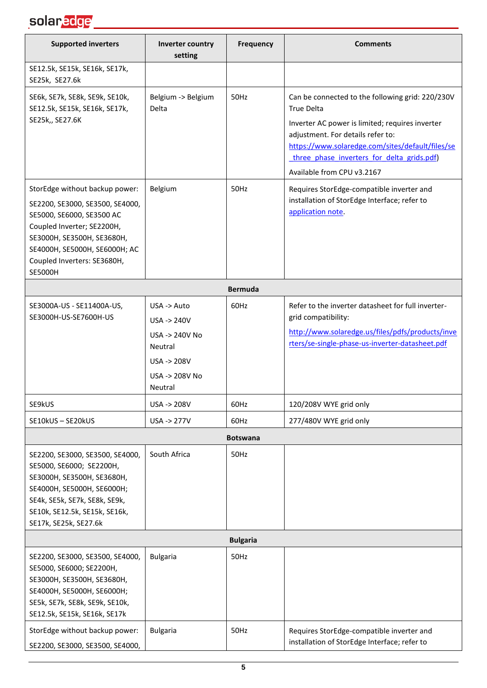#### solar<mark>edge \_\_\_\_\_\_\_\_\_\_\_\_\_\_\_\_\_\_\_</mark>

| <b>Supported inverters</b>                                                                                                                                                                                                                   | Inverter country<br>setting                                                                                                                                                              | <b>Frequency</b>                                | <b>Comments</b>                                                                                                                                                                                                                      |
|----------------------------------------------------------------------------------------------------------------------------------------------------------------------------------------------------------------------------------------------|------------------------------------------------------------------------------------------------------------------------------------------------------------------------------------------|-------------------------------------------------|--------------------------------------------------------------------------------------------------------------------------------------------------------------------------------------------------------------------------------------|
| SE12.5k, SE15k, SE16k, SE17k,<br>SE25k, SE27.6k                                                                                                                                                                                              |                                                                                                                                                                                          |                                                 |                                                                                                                                                                                                                                      |
| SE6k, SE7k, SE8k, SE9k, SE10k,<br>SE12.5k, SE15k, SE16k, SE17k,                                                                                                                                                                              | Belgium -> Belgium<br>Delta                                                                                                                                                              | 50Hz                                            | Can be connected to the following grid: 220/230V<br><b>True Delta</b>                                                                                                                                                                |
| SE25k,, SE27.6K                                                                                                                                                                                                                              |                                                                                                                                                                                          |                                                 | Inverter AC power is limited; requires inverter<br>adjustment. For details refer to:<br>https://www.solaredge.com/sites/default/files/se<br>three phase inverters for delta grids.pdf)<br>Available from CPU v3.2167                 |
| StorEdge without backup power:<br>SE2200, SE3000, SE3500, SE4000,<br>SE5000, SE6000, SE3500 AC<br>Coupled Inverter; SE2200H,<br>SE3000H, SE3500H, SE3680H,<br>SE4000H, SE5000H, SE6000H; AC<br>Coupled Inverters: SE3680H,<br><b>SE5000H</b> | Belgium                                                                                                                                                                                  | 50Hz                                            | Requires StorEdge-compatible inverter and<br>installation of StorEdge Interface; refer to<br>application note.                                                                                                                       |
|                                                                                                                                                                                                                                              |                                                                                                                                                                                          | <b>Bermuda</b>                                  |                                                                                                                                                                                                                                      |
| SE3000A-US - SE11400A-US,<br>SE3000H-US-SE7600H-US<br>SE9kUS<br>SE10kUS-SE20kUS<br>SE2200, SE3000, SE3500, SE4000,<br>SE5000, SE6000; SE2200H,                                                                                               | $USA \rightarrow Auto$<br>$USA \rightarrow 240V$<br>USA -> 240V No<br><b>Neutral</b><br><b>USA -&gt; 208V</b><br>USA -> 208V No<br>Neutral<br>USA -> 208V<br>USA -> 277V<br>South Africa | 60Hz<br>60Hz<br>60Hz<br><b>Botswana</b><br>50Hz | Refer to the inverter datasheet for full inverter-<br>grid compatibility:<br>http://www.solaredge.us/files/pdfs/products/inve<br>rters/se-single-phase-us-inverter-datasheet.pdf<br>120/208V WYE grid only<br>277/480V WYE grid only |
| SE3000H, SE3500H, SE3680H,<br>SE4000H, SE5000H, SE6000H;<br>SE4k, SE5k, SE7k, SE8k, SE9k,<br>SE10k, SE12.5k, SE15k, SE16k,<br>SE17k, SE25k, SE27.6k                                                                                          |                                                                                                                                                                                          |                                                 |                                                                                                                                                                                                                                      |
|                                                                                                                                                                                                                                              |                                                                                                                                                                                          | <b>Bulgaria</b>                                 |                                                                                                                                                                                                                                      |
| SE2200, SE3000, SE3500, SE4000,<br>SE5000, SE6000; SE2200H,<br>SE3000H, SE3500H, SE3680H,<br>SE4000H, SE5000H, SE6000H;<br>SE5k, SE7k, SE8k, SE9k, SE10k,<br>SE12.5k, SE15k, SE16k, SE17k                                                    | <b>Bulgaria</b>                                                                                                                                                                          | 50Hz                                            |                                                                                                                                                                                                                                      |
| StorEdge without backup power:<br>SE2200, SE3000, SE3500, SE4000,                                                                                                                                                                            | <b>Bulgaria</b>                                                                                                                                                                          | 50Hz                                            | Requires StorEdge-compatible inverter and<br>installation of StorEdge Interface; refer to                                                                                                                                            |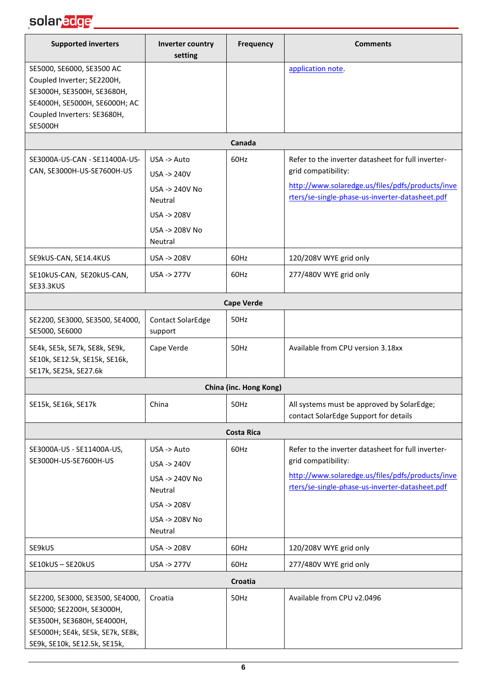#### solar<mark>edge \_\_\_\_\_\_\_\_\_\_\_\_\_\_\_\_\_\_\_\_\_\_\_</mark>

| <b>Supported inverters</b>                                                                                                                                       | Inverter country<br>setting                                                                         | <b>Frequency</b>       | <b>Comments</b>                                                                                                                                                                  |
|------------------------------------------------------------------------------------------------------------------------------------------------------------------|-----------------------------------------------------------------------------------------------------|------------------------|----------------------------------------------------------------------------------------------------------------------------------------------------------------------------------|
| SE5000, SE6000, SE3500 AC<br>Coupled Inverter; SE2200H,<br>SE3000H, SE3500H, SE3680H,<br>SE4000H, SE5000H, SE6000H; AC<br>Coupled Inverters: SE3680H,<br>SE5000H |                                                                                                     |                        | application note.                                                                                                                                                                |
|                                                                                                                                                                  |                                                                                                     | Canada                 |                                                                                                                                                                                  |
| SE3000A-US-CAN - SE11400A-US-<br>CAN, SE3000H-US-SE7600H-US                                                                                                      | USA -> Auto<br>$USA \rightarrow 240V$<br>USA -> 240V No<br>Neutral<br>USA -> 208V<br>USA -> 208V No | 60Hz                   | Refer to the inverter datasheet for full inverter-<br>grid compatibility:<br>http://www.solaredge.us/files/pdfs/products/inve<br>rters/se-single-phase-us-inverter-datasheet.pdf |
|                                                                                                                                                                  | Neutral                                                                                             |                        |                                                                                                                                                                                  |
| SE9kUS-CAN, SE14.4KUS<br>SE10kUS-CAN, SE20kUS-CAN,<br><b>SE33.3KUS</b>                                                                                           | USA -> 208V<br><b>USA -&gt; 277V</b>                                                                | 60Hz<br>60Hz           | 120/208V WYE grid only<br>277/480V WYE grid only                                                                                                                                 |
|                                                                                                                                                                  |                                                                                                     | <b>Cape Verde</b>      |                                                                                                                                                                                  |
| SE2200, SE3000, SE3500, SE4000,<br>SE5000, SE6000                                                                                                                | <b>Contact SolarEdge</b><br>support                                                                 | 50Hz                   |                                                                                                                                                                                  |
| SE4k, SE5k, SE7k, SE8k, SE9k,<br>SE10k, SE12.5k, SE15k, SE16k,<br>SE17k, SE25k, SE27.6k                                                                          | Cape Verde                                                                                          | 50Hz                   | Available from CPU version 3.18xx                                                                                                                                                |
|                                                                                                                                                                  |                                                                                                     | China (inc. Hong Kong) |                                                                                                                                                                                  |
| SE15k, SE16k, SE17k                                                                                                                                              | China                                                                                               | 50Hz                   | All systems must be approved by SolarEdge;<br>contact SolarEdge Support for details                                                                                              |
|                                                                                                                                                                  |                                                                                                     | <b>Costa Rica</b>      |                                                                                                                                                                                  |
| SE3000A-US - SE11400A-US,<br>SE3000H-US-SE7600H-US                                                                                                               | USA -> Auto<br>USA -> 240V<br>USA -> 240V No<br>Neutral<br>USA -> 208V<br>USA -> 208V No<br>Neutral | 60Hz                   | Refer to the inverter datasheet for full inverter-<br>grid compatibility:<br>http://www.solaredge.us/files/pdfs/products/inve<br>rters/se-single-phase-us-inverter-datasheet.pdf |
| SE9kUS                                                                                                                                                           | USA -> 208V                                                                                         | 60Hz                   | 120/208V WYE grid only                                                                                                                                                           |
| SE10kUS-SE20kUS                                                                                                                                                  | USA -> 277V                                                                                         | 60Hz                   | 277/480V WYE grid only                                                                                                                                                           |
|                                                                                                                                                                  |                                                                                                     | Croatia                |                                                                                                                                                                                  |
| SE2200, SE3000, SE3500, SE4000,<br>SE5000; SE2200H, SE3000H,<br>SE3500H, SE3680H, SE4000H,<br>SE5000H; SE4k, SE5k, SE7k, SE8k,<br>SE9k, SE10k, SE12.5k, SE15k,   | Croatia                                                                                             | 50Hz                   | Available from CPU v2.0496                                                                                                                                                       |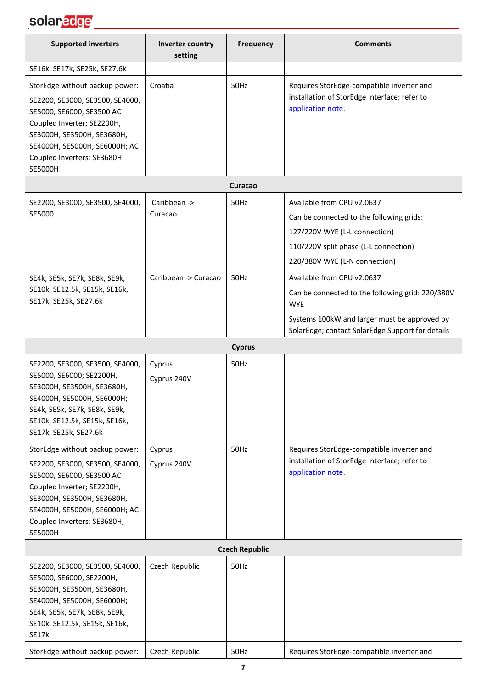# solar<mark>edge \_\_\_\_\_\_\_\_\_\_\_\_\_\_\_\_\_\_\_\_\_\_\_\_\_\_\_\_\_\_\_\_\_</mark>

| <b>Supported inverters</b>                                                                                                                                                                                                                   | Inverter country<br>setting | <b>Frequency</b> | <b>Comments</b>                                                                                                                                                                                  |  |
|----------------------------------------------------------------------------------------------------------------------------------------------------------------------------------------------------------------------------------------------|-----------------------------|------------------|--------------------------------------------------------------------------------------------------------------------------------------------------------------------------------------------------|--|
| SE16k, SE17k, SE25k, SE27.6k                                                                                                                                                                                                                 |                             |                  |                                                                                                                                                                                                  |  |
| StorEdge without backup power:<br>SE2200, SE3000, SE3500, SE4000,<br>SE5000, SE6000, SE3500 AC<br>Coupled Inverter; SE2200H,<br>SE3000H, SE3500H, SE3680H,<br>SE4000H, SE5000H, SE6000H; AC<br>Coupled Inverters: SE3680H,<br><b>SE5000H</b> | Croatia                     | 50Hz             | Requires StorEdge-compatible inverter and<br>installation of StorEdge Interface; refer to<br>application note.                                                                                   |  |
|                                                                                                                                                                                                                                              |                             | Curacao          |                                                                                                                                                                                                  |  |
| SE2200, SE3000, SE3500, SE4000,<br>SE5000                                                                                                                                                                                                    | Caribbean -><br>Curacao     | 50Hz             | Available from CPU v2.0637<br>Can be connected to the following grids:<br>127/220V WYE (L-L connection)<br>110/220V split phase (L-L connection)<br>220/380V WYE (L-N connection)                |  |
| SE4k, SE5k, SE7k, SE8k, SE9k,<br>SE10k, SE12.5k, SE15k, SE16k,<br>SE17k, SE25k, SE27.6k                                                                                                                                                      | Caribbean -> Curacao        | 50Hz             | Available from CPU v2.0637<br>Can be connected to the following grid: 220/380V<br><b>WYE</b><br>Systems 100kW and larger must be approved by<br>SolarEdge; contact SolarEdge Support for details |  |
|                                                                                                                                                                                                                                              |                             | <b>Cyprus</b>    |                                                                                                                                                                                                  |  |
| SE2200, SE3000, SE3500, SE4000,<br>SE5000, SE6000; SE2200H,<br>SE3000H, SE3500H, SE3680H,<br>SE4000H, SE5000H, SE6000H;<br>SE4k, SE5k, SE7k, SE8k, SE9k,<br>SE10k, SE12.5k, SE15k, SE16k,<br>SE17k, SE25k, SE27.6k                           | Cyprus<br>Cyprus 240V       | 50Hz             |                                                                                                                                                                                                  |  |
| StorEdge without backup power:<br>SE2200, SE3000, SE3500, SE4000,<br>SE5000, SE6000, SE3500 AC<br>Coupled Inverter; SE2200H,<br>SE3000H, SE3500H, SE3680H,<br>SE4000H, SE5000H, SE6000H; AC<br>Coupled Inverters: SE3680H,<br><b>SE5000H</b> | Cyprus<br>Cyprus 240V       | 50Hz             | Requires StorEdge-compatible inverter and<br>installation of StorEdge Interface; refer to<br>application note.                                                                                   |  |
| <b>Czech Republic</b>                                                                                                                                                                                                                        |                             |                  |                                                                                                                                                                                                  |  |
| SE2200, SE3000, SE3500, SE4000,<br>SE5000, SE6000; SE2200H,<br>SE3000H, SE3500H, SE3680H,<br>SE4000H, SE5000H, SE6000H;<br>SE4k, SE5k, SE7k, SE8k, SE9k,<br>SE10k, SE12.5k, SE15k, SE16k,<br>SE17k                                           | Czech Republic              | 50Hz             |                                                                                                                                                                                                  |  |
| StorEdge without backup power:                                                                                                                                                                                                               | Czech Republic              | 50Hz             | Requires StorEdge-compatible inverter and                                                                                                                                                        |  |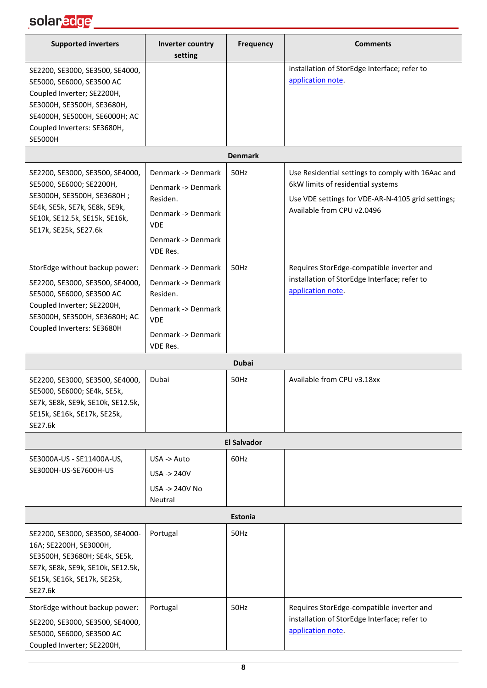#### solar<mark>edge \_\_\_\_\_\_\_\_\_\_\_\_\_\_\_\_\_\_\_</mark>

| <b>Supported inverters</b>                                                                                                                                                                                 | Inverter country<br>setting                                                                                                       | Frequency          | <b>Comments</b>                                                                                                                                                           |  |
|------------------------------------------------------------------------------------------------------------------------------------------------------------------------------------------------------------|-----------------------------------------------------------------------------------------------------------------------------------|--------------------|---------------------------------------------------------------------------------------------------------------------------------------------------------------------------|--|
| SE2200, SE3000, SE3500, SE4000,<br>SE5000, SE6000, SE3500 AC<br>Coupled Inverter; SE2200H,<br>SE3000H, SE3500H, SE3680H,<br>SE4000H, SE5000H, SE6000H; AC<br>Coupled Inverters: SE3680H,<br><b>SE5000H</b> |                                                                                                                                   |                    | installation of StorEdge Interface; refer to<br>application note.                                                                                                         |  |
|                                                                                                                                                                                                            |                                                                                                                                   | <b>Denmark</b>     |                                                                                                                                                                           |  |
| SE2200, SE3000, SE3500, SE4000,<br>SE5000, SE6000; SE2200H,<br>SE3000H, SE3500H, SE3680H;<br>SE4k, SE5k, SE7k, SE8k, SE9k,<br>SE10k, SE12.5k, SE15k, SE16k,<br>SE17k, SE25k, SE27.6k                       | Denmark -> Denmark<br>Denmark -> Denmark<br>Residen.<br>Denmark -> Denmark<br><b>VDE</b><br>Denmark -> Denmark<br><b>VDE Res.</b> | 50Hz               | Use Residential settings to comply with 16Aac and<br>6kW limits of residential systems<br>Use VDE settings for VDE-AR-N-4105 grid settings;<br>Available from CPU v2.0496 |  |
| StorEdge without backup power:<br>SE2200, SE3000, SE3500, SE4000,<br>SE5000, SE6000, SE3500 AC<br>Coupled Inverter; SE2200H,<br>SE3000H, SE3500H, SE3680H; AC<br>Coupled Inverters: SE3680H                | Denmark -> Denmark<br>Denmark -> Denmark<br>Residen.<br>Denmark -> Denmark<br><b>VDE</b><br>Denmark -> Denmark<br>VDE Res.        | 50Hz               | Requires StorEdge-compatible inverter and<br>installation of StorEdge Interface; refer to<br>application note.                                                            |  |
|                                                                                                                                                                                                            |                                                                                                                                   | <b>Dubai</b>       |                                                                                                                                                                           |  |
| SE2200, SE3000, SE3500, SE4000,<br>SE5000, SE6000; SE4k, SE5k,<br>SE7k, SE8k, SE9k, SE10k, SE12.5k,<br>SE15k, SE16k, SE17k, SE25k,<br>SE27.6k                                                              | Dubai                                                                                                                             | 50Hz               | Available from CPU v3.18xx                                                                                                                                                |  |
|                                                                                                                                                                                                            |                                                                                                                                   | <b>El Salvador</b> |                                                                                                                                                                           |  |
| SE3000A-US - SE11400A-US,<br>SE3000H-US-SE7600H-US                                                                                                                                                         | USA -> Auto<br>USA -> 240V<br>USA -> 240V No<br>Neutral                                                                           | 60Hz               |                                                                                                                                                                           |  |
| Estonia                                                                                                                                                                                                    |                                                                                                                                   |                    |                                                                                                                                                                           |  |
| SE2200, SE3000, SE3500, SE4000-<br>16A; SE2200H, SE3000H,<br>SE3500H, SE3680H; SE4k, SE5k,<br>SE7k, SE8k, SE9k, SE10k, SE12.5k,<br>SE15k, SE16k, SE17k, SE25k,<br>SE27.6k                                  | Portugal                                                                                                                          | 50Hz               |                                                                                                                                                                           |  |
| StorEdge without backup power:<br>SE2200, SE3000, SE3500, SE4000,<br>SE5000, SE6000, SE3500 AC<br>Coupled Inverter; SE2200H,                                                                               | Portugal                                                                                                                          | 50Hz               | Requires StorEdge-compatible inverter and<br>installation of StorEdge Interface; refer to<br>application note.                                                            |  |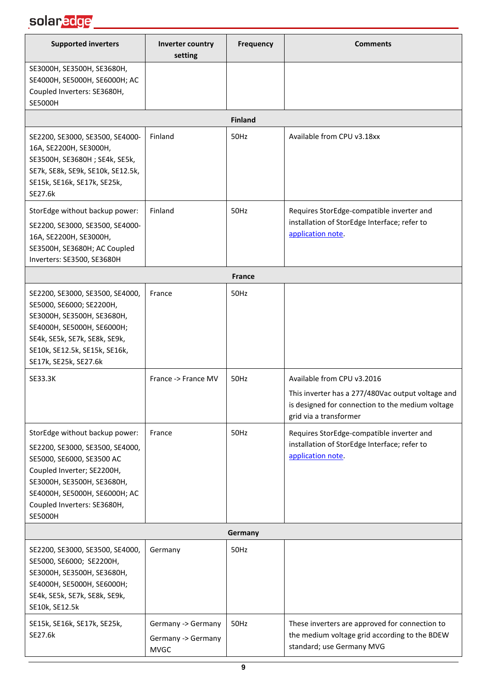#### solar<mark>edge \_\_\_\_\_\_\_\_\_\_\_\_\_\_\_\_\_\_\_\_\_\_\_</mark>

| <b>Supported inverters</b>                                                                                                                                                                                                                   | Inverter country<br>setting                             | Frequency      | <b>Comments</b>                                                                                                                 |  |
|----------------------------------------------------------------------------------------------------------------------------------------------------------------------------------------------------------------------------------------------|---------------------------------------------------------|----------------|---------------------------------------------------------------------------------------------------------------------------------|--|
| SE3000H, SE3500H, SE3680H,<br>SE4000H, SE5000H, SE6000H; AC<br>Coupled Inverters: SE3680H,<br><b>SE5000H</b>                                                                                                                                 |                                                         |                |                                                                                                                                 |  |
|                                                                                                                                                                                                                                              |                                                         | <b>Finland</b> |                                                                                                                                 |  |
| SE2200, SE3000, SE3500, SE4000-<br>16A, SE2200H, SE3000H,<br>SE3500H, SE3680H; SE4k, SE5k,<br>SE7k, SE8k, SE9k, SE10k, SE12.5k,<br>SE15k, SE16k, SE17k, SE25k,<br>SE27.6k                                                                    | Finland                                                 | 50Hz           | Available from CPU v3.18xx                                                                                                      |  |
| StorEdge without backup power:<br>SE2200, SE3000, SE3500, SE4000-<br>16A, SE2200H, SE3000H,<br>SE3500H, SE3680H; AC Coupled<br>Inverters: SE3500, SE3680H                                                                                    | Finland                                                 | 50Hz           | Requires StorEdge-compatible inverter and<br>installation of StorEdge Interface; refer to<br>application note.                  |  |
|                                                                                                                                                                                                                                              |                                                         | <b>France</b>  |                                                                                                                                 |  |
| SE2200, SE3000, SE3500, SE4000,<br>SE5000, SE6000; SE2200H,<br>SE3000H, SE3500H, SE3680H,<br>SE4000H, SE5000H, SE6000H;<br>SE4k, SE5k, SE7k, SE8k, SE9k,<br>SE10k, SE12.5k, SE15k, SE16k,<br>SE17k, SE25k, SE27.6k                           | France                                                  | 50Hz           |                                                                                                                                 |  |
| SE33.3K                                                                                                                                                                                                                                      | France -> France MV                                     | 50Hz           | Available from CPU v3.2016                                                                                                      |  |
|                                                                                                                                                                                                                                              |                                                         |                | This inverter has a 277/480Vac output voltage and<br>is designed for connection to the medium voltage<br>grid via a transformer |  |
| StorEdge without backup power:<br>SE2200, SE3000, SE3500, SE4000,<br>SE5000, SE6000, SE3500 AC<br>Coupled Inverter; SE2200H,<br>SE3000H, SE3500H, SE3680H,<br>SE4000H, SE5000H, SE6000H; AC<br>Coupled Inverters: SE3680H,<br><b>SE5000H</b> | France                                                  | 50Hz           | Requires StorEdge-compatible inverter and<br>installation of StorEdge Interface; refer to<br>application note.                  |  |
| Germany                                                                                                                                                                                                                                      |                                                         |                |                                                                                                                                 |  |
| SE2200, SE3000, SE3500, SE4000,<br>SE5000, SE6000; SE2200H,<br>SE3000H, SE3500H, SE3680H,<br>SE4000H, SE5000H, SE6000H;<br>SE4k, SE5k, SE7k, SE8k, SE9k,<br>SE10k, SE12.5k                                                                   | Germany                                                 | 50Hz           |                                                                                                                                 |  |
| SE15k, SE16k, SE17k, SE25k,<br>SE27.6k                                                                                                                                                                                                       | Germany -> Germany<br>Germany -> Germany<br><b>MVGC</b> | 50Hz           | These inverters are approved for connection to<br>the medium voltage grid according to the BDEW<br>standard; use Germany MVG    |  |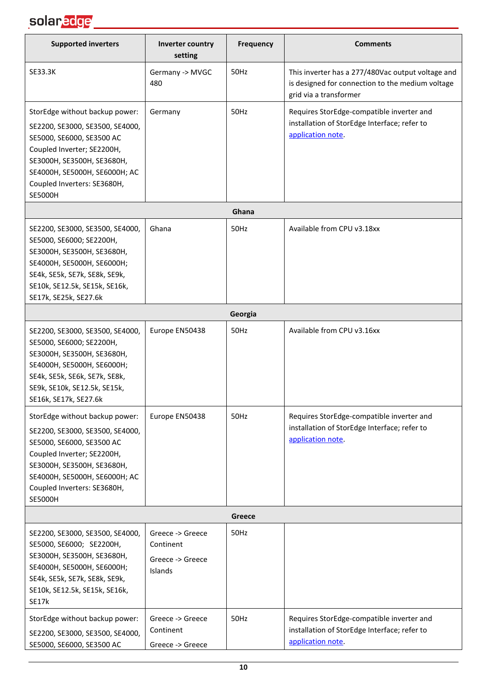

| <b>Supported inverters</b>                                                                                                                                                                                                                   | Inverter country<br>setting                                  | <b>Frequency</b> | <b>Comments</b>                                                                                                                 |  |
|----------------------------------------------------------------------------------------------------------------------------------------------------------------------------------------------------------------------------------------------|--------------------------------------------------------------|------------------|---------------------------------------------------------------------------------------------------------------------------------|--|
| <b>SE33.3K</b>                                                                                                                                                                                                                               | Germany -> MVGC<br>480                                       | 50Hz             | This inverter has a 277/480Vac output voltage and<br>is designed for connection to the medium voltage<br>grid via a transformer |  |
| StorEdge without backup power:<br>SE2200, SE3000, SE3500, SE4000,<br>SE5000, SE6000, SE3500 AC<br>Coupled Inverter; SE2200H,<br>SE3000H, SE3500H, SE3680H,<br>SE4000H, SE5000H, SE6000H; AC<br>Coupled Inverters: SE3680H,<br><b>SE5000H</b> | Germany                                                      | 50Hz             | Requires StorEdge-compatible inverter and<br>installation of StorEdge Interface; refer to<br>application note.                  |  |
|                                                                                                                                                                                                                                              |                                                              | Ghana            |                                                                                                                                 |  |
| SE2200, SE3000, SE3500, SE4000,<br>SE5000, SE6000; SE2200H,<br>SE3000H, SE3500H, SE3680H,<br>SE4000H, SE5000H, SE6000H;<br>SE4k, SE5k, SE7k, SE8k, SE9k,<br>SE10k, SE12.5k, SE15k, SE16k,<br>SE17k, SE25k, SE27.6k                           | Ghana                                                        | 50Hz             | Available from CPU v3.18xx                                                                                                      |  |
|                                                                                                                                                                                                                                              |                                                              | Georgia          |                                                                                                                                 |  |
| SE2200, SE3000, SE3500, SE4000,<br>SE5000, SE6000; SE2200H,<br>SE3000H, SE3500H, SE3680H,<br>SE4000H, SE5000H, SE6000H;<br>SE4k, SE5k, SE6k, SE7k, SE8k,<br>SE9k, SE10k, SE12.5k, SE15k,<br>SE16k, SE17k, SE27.6k                            | Europe EN50438                                               | 50Hz             | Available from CPU v3.16xx                                                                                                      |  |
| StorEdge without backup power:<br>SE2200, SE3000, SE3500, SE4000,<br>SE5000, SE6000, SE3500 AC<br>Coupled Inverter; SE2200H,<br>SE3000H, SE3500H, SE3680H,<br>SE4000H, SE5000H, SE6000H; AC<br>Coupled Inverters: SE3680H,<br><b>SE5000H</b> | Europe EN50438                                               | 50Hz             | Requires StorEdge-compatible inverter and<br>installation of StorEdge Interface; refer to<br>application note.                  |  |
| Greece                                                                                                                                                                                                                                       |                                                              |                  |                                                                                                                                 |  |
| SE2200, SE3000, SE3500, SE4000,<br>SE5000, SE6000; SE2200H,<br>SE3000H, SE3500H, SE3680H,<br>SE4000H, SE5000H, SE6000H;<br>SE4k, SE5k, SE7k, SE8k, SE9k,<br>SE10k, SE12.5k, SE15k, SE16k,<br><b>SE17k</b>                                    | Greece -> Greece<br>Continent<br>Greece -> Greece<br>Islands | 50Hz             |                                                                                                                                 |  |
| StorEdge without backup power:<br>SE2200, SE3000, SE3500, SE4000,<br>SE5000, SE6000, SE3500 AC                                                                                                                                               | Greece -> Greece<br>Continent<br>Greece -> Greece            | 50Hz             | Requires StorEdge-compatible inverter and<br>installation of StorEdge Interface; refer to<br>application note.                  |  |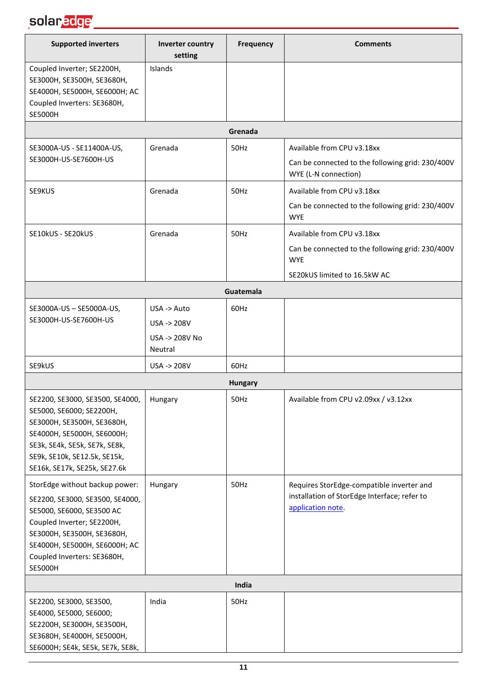#### solar<mark>edge</mark> \_\_\_\_\_\_\_\_\_\_\_\_\_\_\_\_\_\_\_\_\_

| <b>Supported inverters</b>                                                                                                                                                                                                                   | Inverter country<br>setting                             | <b>Frequency</b> | <b>Comments</b>                                                                                                              |
|----------------------------------------------------------------------------------------------------------------------------------------------------------------------------------------------------------------------------------------------|---------------------------------------------------------|------------------|------------------------------------------------------------------------------------------------------------------------------|
| Coupled Inverter; SE2200H,<br>SE3000H, SE3500H, SE3680H,<br>SE4000H, SE5000H, SE6000H; AC<br>Coupled Inverters: SE3680H,<br><b>SE5000H</b>                                                                                                   | Islands                                                 |                  |                                                                                                                              |
|                                                                                                                                                                                                                                              |                                                         | Grenada          |                                                                                                                              |
| SE3000A-US - SE11400A-US,<br>SE3000H-US-SE7600H-US                                                                                                                                                                                           | Grenada                                                 | 50Hz             | Available from CPU v3.18xx<br>Can be connected to the following grid: 230/400V<br>WYE (L-N connection)                       |
| SE9KUS                                                                                                                                                                                                                                       | Grenada                                                 | 50Hz             | Available from CPU v3.18xx<br>Can be connected to the following grid: 230/400V<br><b>WYE</b>                                 |
| SE10kUS - SE20kUS                                                                                                                                                                                                                            | Grenada                                                 | 50Hz             | Available from CPU v3.18xx<br>Can be connected to the following grid: 230/400V<br><b>WYE</b><br>SE20kUS limited to 16.5kW AC |
|                                                                                                                                                                                                                                              |                                                         | Guatemala        |                                                                                                                              |
| SE3000A-US - SE5000A-US,<br>SE3000H-US-SE7600H-US                                                                                                                                                                                            | USA -> Auto<br>USA -> 208V<br>USA -> 208V No<br>Neutral | 60Hz             |                                                                                                                              |
| SE9kUS                                                                                                                                                                                                                                       | USA -> 208V                                             | 60Hz             |                                                                                                                              |
|                                                                                                                                                                                                                                              |                                                         | <b>Hungary</b>   |                                                                                                                              |
| SE2200, SE3000, SE3500, SE4000,<br>SE5000, SE6000; SE2200H,<br>SE3000H, SE3500H, SE3680H,<br>SE4000H, SE5000H, SE6000H;<br>SE3k, SE4k, SE5k, SE7k, SE8k,<br>SE9k, SE10k, SE12.5k, SE15k,<br>SE16k, SE17k, SE25k, SE27.6k                     | Hungary                                                 | 50Hz             | Available from CPU v2.09xx / v3.12xx                                                                                         |
| StorEdge without backup power:<br>SE2200, SE3000, SE3500, SE4000,<br>SE5000, SE6000, SE3500 AC<br>Coupled Inverter; SE2200H,<br>SE3000H, SE3500H, SE3680H,<br>SE4000H, SE5000H, SE6000H; AC<br>Coupled Inverters: SE3680H,<br><b>SE5000H</b> | Hungary                                                 | 50Hz             | Requires StorEdge-compatible inverter and<br>installation of StorEdge Interface; refer to<br>application note.               |
|                                                                                                                                                                                                                                              |                                                         | India            |                                                                                                                              |
| SE2200, SE3000, SE3500,<br>SE4000, SE5000, SE6000;<br>SE2200H, SE3000H, SE3500H,<br>SE3680H, SE4000H, SE5000H,<br>SE6000H; SE4k, SE5k, SE7k, SE8k,                                                                                           | India                                                   | 50Hz             |                                                                                                                              |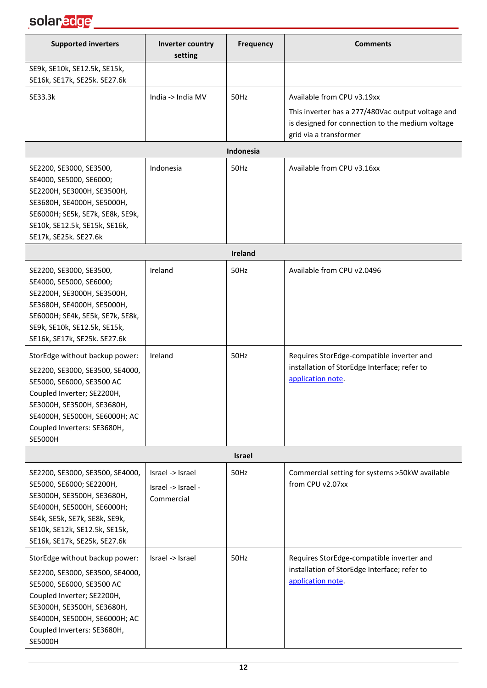

| <b>Supported inverters</b>                                                                                                                                                                                                                   | Inverter country<br>setting                          | Frequency      | <b>Comments</b>                                                                                                                                               |
|----------------------------------------------------------------------------------------------------------------------------------------------------------------------------------------------------------------------------------------------|------------------------------------------------------|----------------|---------------------------------------------------------------------------------------------------------------------------------------------------------------|
| SE9k, SE10k, SE12.5k, SE15k,<br>SE16k, SE17k, SE25k. SE27.6k                                                                                                                                                                                 |                                                      |                |                                                                                                                                                               |
| SE33.3k                                                                                                                                                                                                                                      | India -> India MV                                    | 50Hz           | Available from CPU v3.19xx<br>This inverter has a 277/480Vac output voltage and<br>is designed for connection to the medium voltage<br>grid via a transformer |
|                                                                                                                                                                                                                                              |                                                      | Indonesia      |                                                                                                                                                               |
| SE2200, SE3000, SE3500,<br>SE4000, SE5000, SE6000;<br>SE2200H, SE3000H, SE3500H,<br>SE3680H, SE4000H, SE5000H,<br>SE6000H; SE5k, SE7k, SE8k, SE9k,<br>SE10k, SE12.5k, SE15k, SE16k,<br>SE17k, SE25k. SE27.6k                                 | Indonesia                                            | 50Hz           | Available from CPU v3.16xx                                                                                                                                    |
|                                                                                                                                                                                                                                              |                                                      | <b>Ireland</b> |                                                                                                                                                               |
| SE2200, SE3000, SE3500,<br>SE4000, SE5000, SE6000;<br>SE2200H, SE3000H, SE3500H,<br>SE3680H, SE4000H, SE5000H,<br>SE6000H; SE4k, SE5k, SE7k, SE8k,<br>SE9k, SE10k, SE12.5k, SE15k,<br>SE16k, SE17k, SE25k. SE27.6k                           | Ireland                                              | 50Hz           | Available from CPU v2.0496                                                                                                                                    |
| StorEdge without backup power:<br>SE2200, SE3000, SE3500, SE4000,<br>SE5000, SE6000, SE3500 AC<br>Coupled Inverter; SE2200H,<br>SE3000H, SE3500H, SE3680H,<br>SE4000H, SE5000H, SE6000H; AC<br>Coupled Inverters: SE3680H,<br><b>SE5000H</b> | Ireland                                              | 50Hz           | Requires StorEdge-compatible inverter and<br>installation of StorEdge Interface; refer to<br>application note.                                                |
|                                                                                                                                                                                                                                              |                                                      | <b>Israel</b>  |                                                                                                                                                               |
| SE2200, SE3000, SE3500, SE4000,<br>SE5000, SE6000; SE2200H,<br>SE3000H, SE3500H, SE3680H,<br>SE4000H, SE5000H, SE6000H;<br>SE4k, SE5k, SE7k, SE8k, SE9k,<br>SE10k, SE12k, SE12.5k, SE15k,<br>SE16k, SE17k, SE25k, SE27.6k                    | Israel -> Israel<br>Israel -> Israel -<br>Commercial | 50Hz           | Commercial setting for systems >50kW available<br>from CPU v2.07xx                                                                                            |
| StorEdge without backup power:<br>SE2200, SE3000, SE3500, SE4000,<br>SE5000, SE6000, SE3500 AC<br>Coupled Inverter; SE2200H,<br>SE3000H, SE3500H, SE3680H,<br>SE4000H, SE5000H, SE6000H; AC<br>Coupled Inverters: SE3680H,<br><b>SE5000H</b> | Israel -> Israel                                     | 50Hz           | Requires StorEdge-compatible inverter and<br>installation of StorEdge Interface; refer to<br>application note.                                                |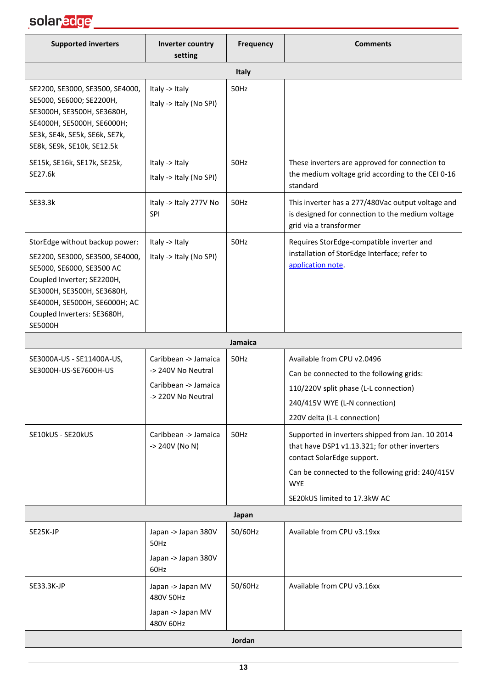| <b>Supported inverters</b>                                                                                                                                                                                                                   | Inverter country<br>setting                                                              | <b>Frequency</b> | <b>Comments</b>                                                                                                                                                                                                                   |
|----------------------------------------------------------------------------------------------------------------------------------------------------------------------------------------------------------------------------------------------|------------------------------------------------------------------------------------------|------------------|-----------------------------------------------------------------------------------------------------------------------------------------------------------------------------------------------------------------------------------|
|                                                                                                                                                                                                                                              |                                                                                          | Italy            |                                                                                                                                                                                                                                   |
| SE2200, SE3000, SE3500, SE4000,<br>SE5000, SE6000; SE2200H,<br>SE3000H, SE3500H, SE3680H,<br>SE4000H, SE5000H, SE6000H;<br>SE3k, SE4k, SE5k, SE6k, SE7k,<br>SE8k, SE9k, SE10k, SE12.5k                                                       | Italy -> Italy<br>Italy -> Italy (No SPI)                                                | 50Hz             |                                                                                                                                                                                                                                   |
| SE15k, SE16k, SE17k, SE25k,<br>SE27.6k                                                                                                                                                                                                       | Italy -> Italy<br>Italy -> Italy (No SPI)                                                | 50Hz             | These inverters are approved for connection to<br>the medium voltage grid according to the CEI 0-16<br>standard                                                                                                                   |
| SE33.3k                                                                                                                                                                                                                                      | Italy -> Italy 277V No<br>SPI                                                            | 50Hz             | This inverter has a 277/480Vac output voltage and<br>is designed for connection to the medium voltage<br>grid via a transformer                                                                                                   |
| StorEdge without backup power:<br>SE2200, SE3000, SE3500, SE4000,<br>SE5000, SE6000, SE3500 AC<br>Coupled Inverter; SE2200H,<br>SE3000H, SE3500H, SE3680H,<br>SE4000H, SE5000H, SE6000H; AC<br>Coupled Inverters: SE3680H,<br><b>SE5000H</b> | Italy -> Italy<br>Italy -> Italy (No SPI)                                                | 50Hz             | Requires StorEdge-compatible inverter and<br>installation of StorEdge Interface; refer to<br>application note.                                                                                                                    |
|                                                                                                                                                                                                                                              |                                                                                          | Jamaica          |                                                                                                                                                                                                                                   |
| SE3000A-US - SE11400A-US,<br>SE3000H-US-SE7600H-US                                                                                                                                                                                           | Caribbean -> Jamaica<br>-> 240V No Neutral<br>Caribbean -> Jamaica<br>-> 220V No Neutral | 50Hz             | Available from CPU v2.0496<br>Can be connected to the following grids:<br>110/220V split phase (L-L connection)<br>240/415V WYE (L-N connection)<br>220V delta (L-L connection)                                                   |
| SE10kUS - SE20kUS                                                                                                                                                                                                                            | Caribbean -> Jamaica<br>-> 240V (No N)                                                   | 50Hz             | Supported in inverters shipped from Jan. 10 2014<br>that have DSP1 v1.13.321; for other inverters<br>contact SolarEdge support.<br>Can be connected to the following grid: 240/415V<br><b>WYE</b><br>SE20kUS limited to 17.3kW AC |
|                                                                                                                                                                                                                                              |                                                                                          | Japan            |                                                                                                                                                                                                                                   |
| SE25K-JP                                                                                                                                                                                                                                     | Japan -> Japan 380V<br>50Hz<br>Japan -> Japan 380V<br>60Hz                               | 50/60Hz          | Available from CPU v3.19xx                                                                                                                                                                                                        |
| SE33.3K-JP                                                                                                                                                                                                                                   | Japan -> Japan MV<br>480V 50Hz<br>Japan -> Japan MV<br>480V 60Hz                         | 50/60Hz          | Available from CPU v3.16xx                                                                                                                                                                                                        |
|                                                                                                                                                                                                                                              |                                                                                          | Jordan           |                                                                                                                                                                                                                                   |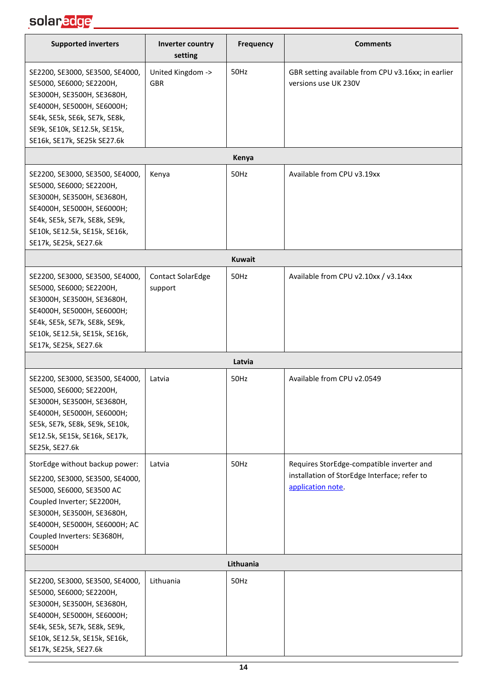## solar<mark>edge \_\_\_\_\_\_\_\_\_\_\_\_\_\_\_\_\_\_\_\_\_\_\_</mark>

| <b>Supported inverters</b>                                                                                                                                                                                                                   | Inverter country<br>setting         | Frequency     | <b>Comments</b>                                                                                                |
|----------------------------------------------------------------------------------------------------------------------------------------------------------------------------------------------------------------------------------------------|-------------------------------------|---------------|----------------------------------------------------------------------------------------------------------------|
| SE2200, SE3000, SE3500, SE4000,<br>SE5000, SE6000; SE2200H,<br>SE3000H, SE3500H, SE3680H,<br>SE4000H, SE5000H, SE6000H;<br>SE4k, SE5k, SE6k, SE7k, SE8k,<br>SE9k, SE10k, SE12.5k, SE15k,<br>SE16k, SE17k, SE25k SE27.6k                      | United Kingdom -><br><b>GBR</b>     | 50Hz          | GBR setting available from CPU v3.16xx; in earlier<br>versions use UK 230V                                     |
|                                                                                                                                                                                                                                              |                                     | Kenya         |                                                                                                                |
| SE2200, SE3000, SE3500, SE4000,<br>SE5000, SE6000; SE2200H,<br>SE3000H, SE3500H, SE3680H,<br>SE4000H, SE5000H, SE6000H;<br>SE4k, SE5k, SE7k, SE8k, SE9k,<br>SE10k, SE12.5k, SE15k, SE16k,<br>SE17k, SE25k, SE27.6k                           | Kenya                               | 50Hz          | Available from CPU v3.19xx                                                                                     |
|                                                                                                                                                                                                                                              |                                     | <b>Kuwait</b> |                                                                                                                |
| SE2200, SE3000, SE3500, SE4000,<br>SE5000, SE6000; SE2200H,<br>SE3000H, SE3500H, SE3680H,<br>SE4000H, SE5000H, SE6000H;<br>SE4k, SE5k, SE7k, SE8k, SE9k,<br>SE10k, SE12.5k, SE15k, SE16k,<br>SE17k, SE25k, SE27.6k                           | <b>Contact SolarEdge</b><br>support | 50Hz          | Available from CPU v2.10xx / v3.14xx                                                                           |
|                                                                                                                                                                                                                                              |                                     | Latvia        |                                                                                                                |
| SE2200, SE3000, SE3500, SE4000,<br>SE5000, SE6000; SE2200H,<br>SE3000H, SE3500H, SE3680H,<br>SE4000H, SE5000H, SE6000H;<br>SE5k, SE7k, SE8k, SE9k, SE10k,<br>SE12.5k, SE15k, SE16k, SE17k,<br>SE25k, SE27.6k                                 | Latvia                              | 50Hz          | Available from CPU v2.0549                                                                                     |
| StorEdge without backup power:<br>SE2200, SE3000, SE3500, SE4000,<br>SE5000, SE6000, SE3500 AC<br>Coupled Inverter; SE2200H,<br>SE3000H, SE3500H, SE3680H,<br>SE4000H, SE5000H, SE6000H; AC<br>Coupled Inverters: SE3680H,<br><b>SE5000H</b> | Latvia                              | 50Hz          | Requires StorEdge-compatible inverter and<br>installation of StorEdge Interface; refer to<br>application note. |
|                                                                                                                                                                                                                                              |                                     | Lithuania     |                                                                                                                |
| SE2200, SE3000, SE3500, SE4000,<br>SE5000, SE6000; SE2200H,<br>SE3000H, SE3500H, SE3680H,<br>SE4000H, SE5000H, SE6000H;<br>SE4k, SE5k, SE7k, SE8k, SE9k,<br>SE10k, SE12.5k, SE15k, SE16k,<br>SE17k, SE25k, SE27.6k                           | Lithuania                           | 50Hz          |                                                                                                                |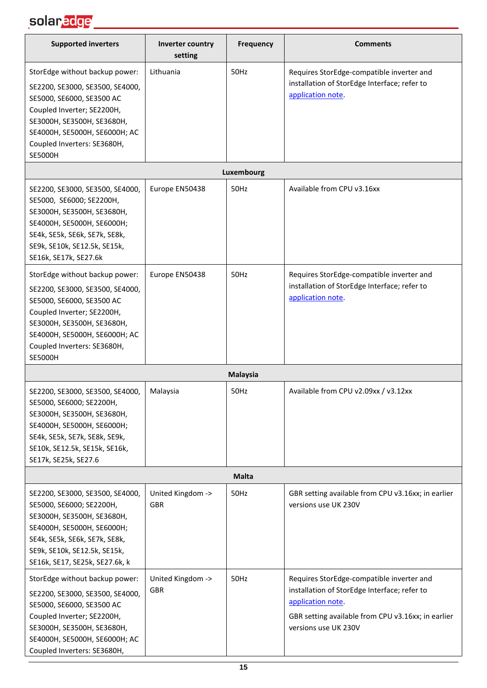## solar<mark>edge \_\_\_\_\_\_\_\_\_\_\_\_\_\_\_\_\_\_\_</mark>

| <b>Supported inverters</b>                                                                                                                                                                                                                   | Inverter country<br>setting     | Frequency       | <b>Comments</b>                                                                                                                                                                              |
|----------------------------------------------------------------------------------------------------------------------------------------------------------------------------------------------------------------------------------------------|---------------------------------|-----------------|----------------------------------------------------------------------------------------------------------------------------------------------------------------------------------------------|
| StorEdge without backup power:<br>SE2200, SE3000, SE3500, SE4000,<br>SE5000, SE6000, SE3500 AC<br>Coupled Inverter; SE2200H,<br>SE3000H, SE3500H, SE3680H,<br>SE4000H, SE5000H, SE6000H; AC<br>Coupled Inverters: SE3680H,<br><b>SE5000H</b> | Lithuania                       | 50Hz            | Requires StorEdge-compatible inverter and<br>installation of StorEdge Interface; refer to<br>application note.                                                                               |
|                                                                                                                                                                                                                                              |                                 | Luxembourg      |                                                                                                                                                                                              |
| SE2200, SE3000, SE3500, SE4000,<br>SE5000, SE6000; SE2200H,<br>SE3000H, SE3500H, SE3680H,<br>SE4000H, SE5000H, SE6000H;<br>SE4k, SE5k, SE6k, SE7k, SE8k,<br>SE9k, SE10k, SE12.5k, SE15k,<br>SE16k, SE17k, SE27.6k                            | Europe EN50438                  | 50Hz            | Available from CPU v3.16xx                                                                                                                                                                   |
| StorEdge without backup power:<br>SE2200, SE3000, SE3500, SE4000,<br>SE5000, SE6000, SE3500 AC<br>Coupled Inverter; SE2200H,<br>SE3000H, SE3500H, SE3680H,<br>SE4000H, SE5000H, SE6000H; AC<br>Coupled Inverters: SE3680H,<br><b>SE5000H</b> | Europe EN50438                  | 50Hz            | Requires StorEdge-compatible inverter and<br>installation of StorEdge Interface; refer to<br>application note.                                                                               |
|                                                                                                                                                                                                                                              |                                 | <b>Malaysia</b> |                                                                                                                                                                                              |
| SE2200, SE3000, SE3500, SE4000,<br>SE5000, SE6000; SE2200H,<br>SE3000H, SE3500H, SE3680H,<br>SE4000H, SE5000H, SE6000H;<br>SE4k, SE5k, SE7k, SE8k, SE9k,<br>SE10k, SE12.5k, SE15k, SE16k,<br>SE17k, SE25k, SE27.6                            | Malaysia                        | 50Hz            | Available from CPU v2.09xx / v3.12xx                                                                                                                                                         |
|                                                                                                                                                                                                                                              |                                 | <b>Malta</b>    |                                                                                                                                                                                              |
| SE2200, SE3000, SE3500, SE4000,<br>SE5000, SE6000; SE2200H,<br>SE3000H, SE3500H, SE3680H,<br>SE4000H, SE5000H, SE6000H;<br>SE4k, SE5k, SE6k, SE7k, SE8k,<br>SE9k, SE10k, SE12.5k, SE15k,<br>SE16k, SE17, SE25k, SE27.6k, k                   | United Kingdom -><br><b>GBR</b> | 50Hz            | GBR setting available from CPU v3.16xx; in earlier<br>versions use UK 230V                                                                                                                   |
| StorEdge without backup power:<br>SE2200, SE3000, SE3500, SE4000,<br>SE5000, SE6000, SE3500 AC<br>Coupled Inverter; SE2200H,<br>SE3000H, SE3500H, SE3680H,<br>SE4000H, SE5000H, SE6000H; AC<br>Coupled Inverters: SE3680H,                   | United Kingdom -><br><b>GBR</b> | 50Hz            | Requires StorEdge-compatible inverter and<br>installation of StorEdge Interface; refer to<br>application note.<br>GBR setting available from CPU v3.16xx; in earlier<br>versions use UK 230V |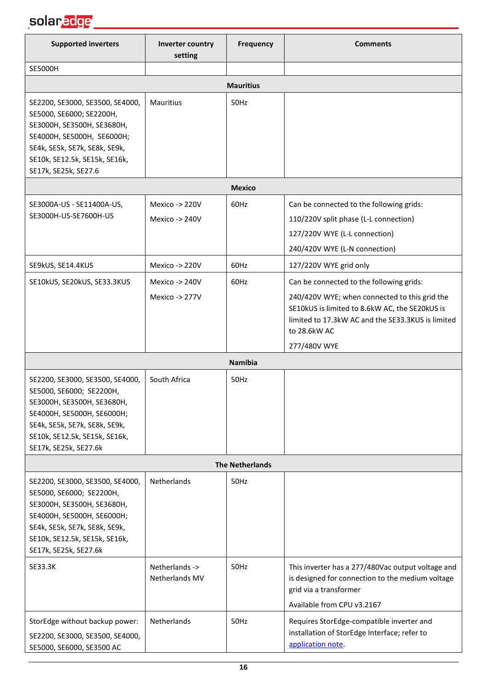

| <b>Supported inverters</b>                                                                                                                                                                                         | Inverter country<br>setting      | <b>Frequency</b>       | <b>Comments</b>                                                                                                                                                                                                                  |
|--------------------------------------------------------------------------------------------------------------------------------------------------------------------------------------------------------------------|----------------------------------|------------------------|----------------------------------------------------------------------------------------------------------------------------------------------------------------------------------------------------------------------------------|
| <b>SE5000H</b>                                                                                                                                                                                                     |                                  |                        |                                                                                                                                                                                                                                  |
|                                                                                                                                                                                                                    |                                  | <b>Mauritius</b>       |                                                                                                                                                                                                                                  |
| SE2200, SE3000, SE3500, SE4000,<br>SE5000, SE6000; SE2200H,<br>SE3000H, SE3500H, SE3680H,<br>SE4000H, SE5000H, SE6000H;<br>SE4k, SE5k, SE7k, SE8k, SE9k,<br>SE10k, SE12.5k, SE15k, SE16k,<br>SE17k, SE25k, SE27.6  | Mauritius                        | 50Hz                   |                                                                                                                                                                                                                                  |
|                                                                                                                                                                                                                    |                                  | <b>Mexico</b>          |                                                                                                                                                                                                                                  |
| SE3000A-US - SE11400A-US,<br>SE3000H-US-SE7600H-US                                                                                                                                                                 | Mexico -> 220V<br>Mexico -> 240V | 60Hz                   | Can be connected to the following grids:<br>110/220V split phase (L-L connection)<br>127/220V WYE (L-L connection)<br>240/420V WYE (L-N connection)                                                                              |
| SE9kUS, SE14.4KUS                                                                                                                                                                                                  | Mexico -> 220V                   | 60Hz                   | 127/220V WYE grid only                                                                                                                                                                                                           |
| SE10kUS, SE20kUS, SE33.3KUS                                                                                                                                                                                        | Mexico -> 240V<br>Mexico -> 277V | 60Hz                   | Can be connected to the following grids:<br>240/420V WYE; when connected to this grid the<br>SE10kUS is limited to 8.6kW AC, the SE20kUS is<br>limited to 17.3kW AC and the SE33.3KUS is limited<br>to 28.6kW AC<br>277/480V WYE |
|                                                                                                                                                                                                                    |                                  | <b>Namibia</b>         |                                                                                                                                                                                                                                  |
| SE2200, SE3000, SE3500, SE4000,<br>SE5000, SE6000; SE2200H,<br>SE3000H, SE3500H, SE3680H,<br>SE4000H, SE5000H, SE6000H;<br>SE4k, SE5k, SE7k, SE8k, SE9k,<br>SE10k, SE12.5k, SE15k, SE16k,<br>SE17k, SE25k, SE27.6k | South Africa                     | 50Hz                   |                                                                                                                                                                                                                                  |
|                                                                                                                                                                                                                    |                                  | <b>The Netherlands</b> |                                                                                                                                                                                                                                  |
| SE2200, SE3000, SE3500, SE4000,<br>SE5000, SE6000; SE2200H,<br>SE3000H, SE3500H, SE3680H,<br>SE4000H, SE5000H, SE6000H;<br>SE4k, SE5k, SE7k, SE8k, SE9k,<br>SE10k, SE12.5k, SE15k, SE16k,<br>SE17k, SE25k, SE27.6k | Netherlands                      | 50Hz                   |                                                                                                                                                                                                                                  |
| SE33.3K                                                                                                                                                                                                            | Netherlands -><br>Netherlands MV | 50Hz                   | This inverter has a 277/480Vac output voltage and<br>is designed for connection to the medium voltage<br>grid via a transformer<br>Available from CPU v3.2167                                                                    |
| StorEdge without backup power:<br>SE2200, SE3000, SE3500, SE4000,<br>SE5000, SE6000, SE3500 AC                                                                                                                     | Netherlands                      | 50Hz                   | Requires StorEdge-compatible inverter and<br>installation of StorEdge Interface; refer to<br>application note.                                                                                                                   |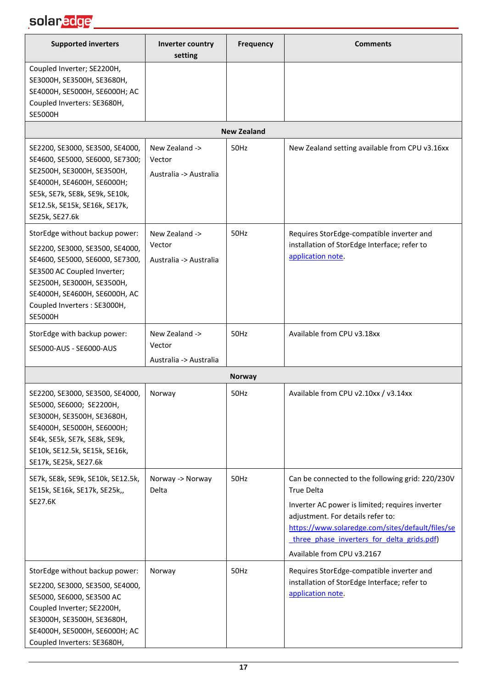| <b>Supported inverters</b>                                                                                                                                                                                                                           | Inverter country<br>setting                        | <b>Frequency</b>   | <b>Comments</b>                                                                                                                                                                                                                                                                               |
|------------------------------------------------------------------------------------------------------------------------------------------------------------------------------------------------------------------------------------------------------|----------------------------------------------------|--------------------|-----------------------------------------------------------------------------------------------------------------------------------------------------------------------------------------------------------------------------------------------------------------------------------------------|
| Coupled Inverter; SE2200H,<br>SE3000H, SE3500H, SE3680H,<br>SE4000H, SE5000H, SE6000H; AC<br>Coupled Inverters: SE3680H,<br><b>SE5000H</b>                                                                                                           |                                                    |                    |                                                                                                                                                                                                                                                                                               |
|                                                                                                                                                                                                                                                      |                                                    | <b>New Zealand</b> |                                                                                                                                                                                                                                                                                               |
| SE2200, SE3000, SE3500, SE4000,<br>SE4600, SE5000, SE6000, SE7300;<br>SE2500H, SE3000H, SE3500H,<br>SE4000H, SE4600H, SE6000H;<br>SE5k, SE7k, SE8k, SE9k, SE10k,<br>SE12.5k, SE15k, SE16k, SE17k,<br>SE25k, SE27.6k                                  | New Zealand -><br>Vector<br>Australia -> Australia | 50Hz               | New Zealand setting available from CPU v3.16xx                                                                                                                                                                                                                                                |
| StorEdge without backup power:<br>SE2200, SE3000, SE3500, SE4000,<br>SE4600, SE5000, SE6000, SE7300,<br>SE3500 AC Coupled Inverter;<br>SE2500H, SE3000H, SE3500H,<br>SE4000H, SE4600H, SE6000H, AC<br>Coupled Inverters : SE3000H,<br><b>SE5000H</b> | New Zealand -><br>Vector<br>Australia -> Australia | 50Hz               | Requires StorEdge-compatible inverter and<br>installation of StorEdge Interface; refer to<br>application note.                                                                                                                                                                                |
| StorEdge with backup power:<br>SE5000-AUS - SE6000-AUS                                                                                                                                                                                               | New Zealand -><br>Vector<br>Australia -> Australia | 50Hz               | Available from CPU v3.18xx                                                                                                                                                                                                                                                                    |
|                                                                                                                                                                                                                                                      |                                                    | <b>Norway</b>      |                                                                                                                                                                                                                                                                                               |
| SE2200, SE3000, SE3500, SE4000,<br>SE5000, SE6000; SE2200H,<br>SE3000H, SE3500H, SE3680H,<br>SE4000H, SE5000H, SE6000H;<br>SE4k, SE5k, SE7k, SE8k, SE9k,<br>SE10k, SE12.5k, SE15k, SE16k,<br>SE17k, SE25k, SE27.6k                                   | Norway                                             | 50Hz               | Available from CPU v2.10xx / v3.14xx                                                                                                                                                                                                                                                          |
| SE7k, SE8k, SE9k, SE10k, SE12.5k,<br>SE15k, SE16k, SE17k, SE25k,,<br>SE27.6K                                                                                                                                                                         | Norway -> Norway<br>Delta                          | 50Hz               | Can be connected to the following grid: 220/230V<br><b>True Delta</b><br>Inverter AC power is limited; requires inverter<br>adjustment. For details refer to:<br>https://www.solaredge.com/sites/default/files/se<br>three phase inverters for delta grids.pdf)<br>Available from CPU v3.2167 |
| StorEdge without backup power:<br>SE2200, SE3000, SE3500, SE4000,<br>SE5000, SE6000, SE3500 AC<br>Coupled Inverter; SE2200H,<br>SE3000H, SE3500H, SE3680H,<br>SE4000H, SE5000H, SE6000H; AC<br>Coupled Inverters: SE3680H,                           | Norway                                             | 50Hz               | Requires StorEdge-compatible inverter and<br>installation of StorEdge Interface; refer to<br>application note.                                                                                                                                                                                |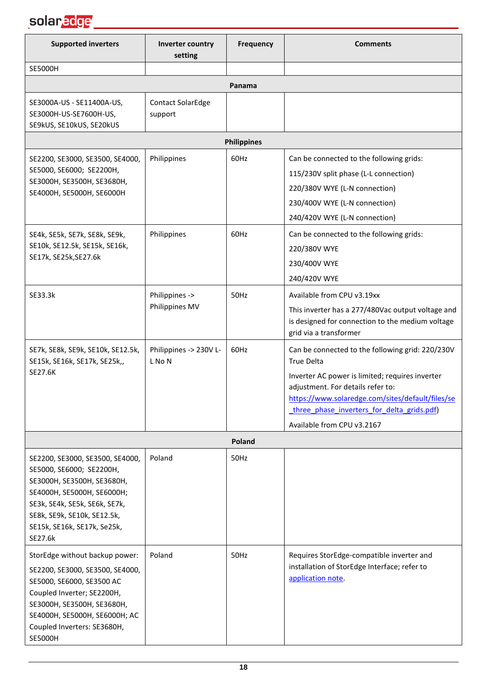## solar<mark>edge \_\_\_\_\_\_\_\_\_\_\_\_\_\_\_\_\_\_</mark>

| <b>Supported inverters</b>                                                                                                                                                                                                                   | Inverter country<br>setting         | <b>Frequency</b>   | <b>Comments</b>                                                                                                                                                                                                                                                                               |
|----------------------------------------------------------------------------------------------------------------------------------------------------------------------------------------------------------------------------------------------|-------------------------------------|--------------------|-----------------------------------------------------------------------------------------------------------------------------------------------------------------------------------------------------------------------------------------------------------------------------------------------|
| <b>SE5000H</b>                                                                                                                                                                                                                               |                                     |                    |                                                                                                                                                                                                                                                                                               |
|                                                                                                                                                                                                                                              |                                     | Panama             |                                                                                                                                                                                                                                                                                               |
| SE3000A-US - SE11400A-US,<br>SE3000H-US-SE7600H-US,<br>SE9kUS, SE10kUS, SE20kUS                                                                                                                                                              | <b>Contact SolarEdge</b><br>support |                    |                                                                                                                                                                                                                                                                                               |
|                                                                                                                                                                                                                                              |                                     | <b>Philippines</b> |                                                                                                                                                                                                                                                                                               |
| SE2200, SE3000, SE3500, SE4000,<br>SE5000, SE6000; SE2200H,<br>SE3000H, SE3500H, SE3680H,<br>SE4000H, SE5000H, SE6000H                                                                                                                       | Philippines                         | 60Hz               | Can be connected to the following grids:<br>115/230V split phase (L-L connection)<br>220/380V WYE (L-N connection)<br>230/400V WYE (L-N connection)<br>240/420V WYE (L-N connection)                                                                                                          |
| SE4k, SE5k, SE7k, SE8k, SE9k,<br>SE10k, SE12.5k, SE15k, SE16k,<br>SE17k, SE25k, SE27.6k                                                                                                                                                      | Philippines                         | 60Hz               | Can be connected to the following grids:<br>220/380V WYE<br>230/400V WYE<br>240/420V WYE                                                                                                                                                                                                      |
| SE33.3k                                                                                                                                                                                                                                      | Philippines -><br>Philippines MV    | 50Hz               | Available from CPU v3.19xx<br>This inverter has a 277/480Vac output voltage and<br>is designed for connection to the medium voltage<br>grid via a transformer                                                                                                                                 |
| SE7k, SE8k, SE9k, SE10k, SE12.5k,<br>SE15k, SE16k, SE17k, SE25k,,<br>SE27.6K                                                                                                                                                                 | Philippines -> 230V L-<br>L No N    | 60Hz               | Can be connected to the following grid: 220/230V<br><b>True Delta</b><br>Inverter AC power is limited; requires inverter<br>adjustment. For details refer to:<br>https://www.solaredge.com/sites/default/files/se<br>three phase inverters for delta grids.pdf)<br>Available from CPU v3.2167 |
|                                                                                                                                                                                                                                              |                                     | Poland             |                                                                                                                                                                                                                                                                                               |
| SE2200, SE3000, SE3500, SE4000,<br>SE5000, SE6000; SE2200H,<br>SE3000H, SE3500H, SE3680H,<br>SE4000H, SE5000H, SE6000H;<br>SE3k, SE4k, SE5k, SE6k, SE7k,<br>SE8k, SE9k, SE10k, SE12.5k,<br>SE15k, SE16k, SE17k, Se25k,<br>SE27.6k            | Poland                              | 50Hz               |                                                                                                                                                                                                                                                                                               |
| StorEdge without backup power:<br>SE2200, SE3000, SE3500, SE4000,<br>SE5000, SE6000, SE3500 AC<br>Coupled Inverter; SE2200H,<br>SE3000H, SE3500H, SE3680H,<br>SE4000H, SE5000H, SE6000H; AC<br>Coupled Inverters: SE3680H,<br><b>SE5000H</b> | Poland                              | 50Hz               | Requires StorEdge-compatible inverter and<br>installation of StorEdge Interface; refer to<br>application note.                                                                                                                                                                                |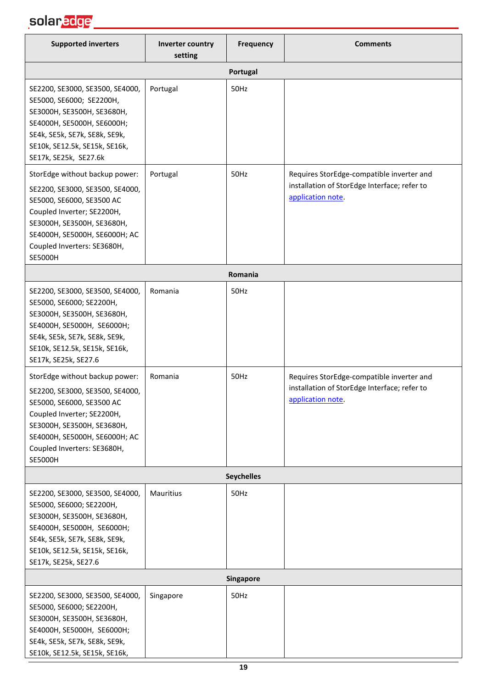| <b>Supported inverters</b>                                                                                                                                                                                                                                                                                                                                                                                                                                        | Inverter country<br>setting | <b>Frequency</b>  | <b>Comments</b>                                                                                                |
|-------------------------------------------------------------------------------------------------------------------------------------------------------------------------------------------------------------------------------------------------------------------------------------------------------------------------------------------------------------------------------------------------------------------------------------------------------------------|-----------------------------|-------------------|----------------------------------------------------------------------------------------------------------------|
|                                                                                                                                                                                                                                                                                                                                                                                                                                                                   |                             | Portugal          |                                                                                                                |
| SE2200, SE3000, SE3500, SE4000,<br>SE5000, SE6000; SE2200H,<br>SE3000H, SE3500H, SE3680H,<br>SE4000H, SE5000H, SE6000H;<br>SE4k, SE5k, SE7k, SE8k, SE9k,<br>SE10k, SE12.5k, SE15k, SE16k,<br>SE17k, SE25k, SE27.6k                                                                                                                                                                                                                                                | Portugal                    | 50Hz              |                                                                                                                |
| StorEdge without backup power:<br>SE2200, SE3000, SE3500, SE4000,<br>SE5000, SE6000, SE3500 AC<br>Coupled Inverter; SE2200H,<br>SE3000H, SE3500H, SE3680H,<br>SE4000H, SE5000H, SE6000H; AC<br>Coupled Inverters: SE3680H,<br><b>SE5000H</b>                                                                                                                                                                                                                      | Portugal                    | 50Hz              | Requires StorEdge-compatible inverter and<br>installation of StorEdge Interface; refer to<br>application note. |
|                                                                                                                                                                                                                                                                                                                                                                                                                                                                   |                             | Romania           |                                                                                                                |
| SE2200, SE3000, SE3500, SE4000,<br>SE5000, SE6000; SE2200H,<br>SE3000H, SE3500H, SE3680H,<br>SE4000H, SE5000H, SE6000H;<br>SE4k, SE5k, SE7k, SE8k, SE9k,<br>SE10k, SE12.5k, SE15k, SE16k,<br>SE17k, SE25k, SE27.6<br>StorEdge without backup power:<br>SE2200, SE3000, SE3500, SE4000,<br>SE5000, SE6000, SE3500 AC<br>Coupled Inverter; SE2200H,<br>SE3000H, SE3500H, SE3680H,<br>SE4000H, SE5000H, SE6000H; AC<br>Coupled Inverters: SE3680H,<br><b>SE5000H</b> | Romania<br>Romania          | 50Hz<br>50Hz      | Requires StorEdge-compatible inverter and<br>installation of StorEdge Interface; refer to<br>application note. |
|                                                                                                                                                                                                                                                                                                                                                                                                                                                                   |                             | <b>Seychelles</b> |                                                                                                                |
| SE2200, SE3000, SE3500, SE4000,<br>SE5000, SE6000; SE2200H,<br>SE3000H, SE3500H, SE3680H,<br>SE4000H, SE5000H, SE6000H;<br>SE4k, SE5k, SE7k, SE8k, SE9k,<br>SE10k, SE12.5k, SE15k, SE16k,<br>SE17k, SE25k, SE27.6                                                                                                                                                                                                                                                 | Mauritius                   | 50Hz              |                                                                                                                |
|                                                                                                                                                                                                                                                                                                                                                                                                                                                                   |                             | <b>Singapore</b>  |                                                                                                                |
| SE2200, SE3000, SE3500, SE4000,<br>SE5000, SE6000; SE2200H,<br>SE3000H, SE3500H, SE3680H,<br>SE4000H, SE5000H, SE6000H;<br>SE4k, SE5k, SE7k, SE8k, SE9k,<br>SE10k, SE12.5k, SE15k, SE16k,                                                                                                                                                                                                                                                                         | Singapore                   | 50Hz              |                                                                                                                |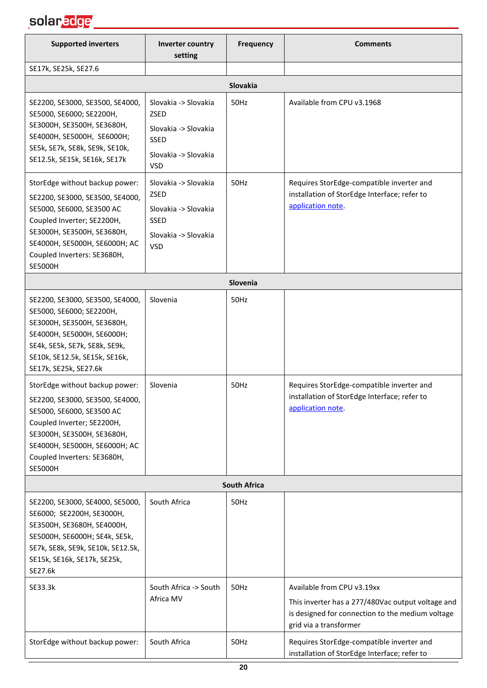| <b>Supported inverters</b>                                                                                                                                                                                                                   | Inverter country<br>setting                                                                                      | Frequency           | <b>Comments</b>                                                                                                                                               |
|----------------------------------------------------------------------------------------------------------------------------------------------------------------------------------------------------------------------------------------------|------------------------------------------------------------------------------------------------------------------|---------------------|---------------------------------------------------------------------------------------------------------------------------------------------------------------|
| SE17k, SE25k, SE27.6                                                                                                                                                                                                                         |                                                                                                                  |                     |                                                                                                                                                               |
|                                                                                                                                                                                                                                              |                                                                                                                  | Slovakia            |                                                                                                                                                               |
| SE2200, SE3000, SE3500, SE4000,<br>SE5000, SE6000; SE2200H,<br>SE3000H, SE3500H, SE3680H,<br>SE4000H, SE5000H, SE6000H;<br>SE5k, SE7k, SE8k, SE9k, SE10k,<br>SE12.5k, SE15k, SE16k, SE17k                                                    | Slovakia -> Slovakia<br><b>ZSED</b><br>Slovakia -> Slovakia<br><b>SSED</b><br>Slovakia -> Slovakia<br><b>VSD</b> | 50Hz                | Available from CPU v3.1968                                                                                                                                    |
| StorEdge without backup power:<br>SE2200, SE3000, SE3500, SE4000,<br>SE5000, SE6000, SE3500 AC<br>Coupled Inverter; SE2200H,<br>SE3000H, SE3500H, SE3680H,<br>SE4000H, SE5000H, SE6000H; AC<br>Coupled Inverters: SE3680H,<br><b>SE5000H</b> | Slovakia -> Slovakia<br>ZSED<br>Slovakia -> Slovakia<br><b>SSED</b><br>Slovakia -> Slovakia<br><b>VSD</b>        | 50Hz                | Requires StorEdge-compatible inverter and<br>installation of StorEdge Interface; refer to<br>application note.                                                |
|                                                                                                                                                                                                                                              |                                                                                                                  | Slovenia            |                                                                                                                                                               |
| SE2200, SE3000, SE3500, SE4000,<br>SE5000, SE6000; SE2200H,<br>SE3000H, SE3500H, SE3680H,<br>SE4000H, SE5000H, SE6000H;<br>SE4k, SE5k, SE7k, SE8k, SE9k,<br>SE10k, SE12.5k, SE15k, SE16k,<br>SE17k, SE25k, SE27.6k                           | Slovenia                                                                                                         | 50Hz                |                                                                                                                                                               |
| StorEdge without backup power:<br>SE2200, SE3000, SE3500, SE4000,<br>SE5000, SE6000, SE3500 AC<br>Coupled Inverter; SE2200H,<br>SE3000H, SE3500H, SE3680H,<br>SE4000H, SE5000H, SE6000H; AC<br>Coupled Inverters: SE3680H,<br><b>SE5000H</b> | Slovenia                                                                                                         | 50Hz                | Requires StorEdge-compatible inverter and<br>installation of StorEdge Interface; refer to<br>application note.                                                |
|                                                                                                                                                                                                                                              |                                                                                                                  | <b>South Africa</b> |                                                                                                                                                               |
| SE2200, SE3000, SE4000, SE5000,<br>SE6000; SE2200H, SE3000H,<br>SE3500H, SE3680H, SE4000H,<br>SE5000H, SE6000H; SE4k, SE5k,<br>SE7k, SE8k, SE9k, SE10k, SE12.5k,<br>SE15k, SE16k, SE17k, SE25k,<br>SE27.6k                                   | South Africa                                                                                                     | 50Hz                |                                                                                                                                                               |
| SE33.3k                                                                                                                                                                                                                                      | South Africa -> South<br>Africa MV                                                                               | 50Hz                | Available from CPU v3.19xx<br>This inverter has a 277/480Vac output voltage and<br>is designed for connection to the medium voltage<br>grid via a transformer |
| StorEdge without backup power:                                                                                                                                                                                                               | South Africa                                                                                                     | 50Hz                | Requires StorEdge-compatible inverter and<br>installation of StorEdge Interface; refer to                                                                     |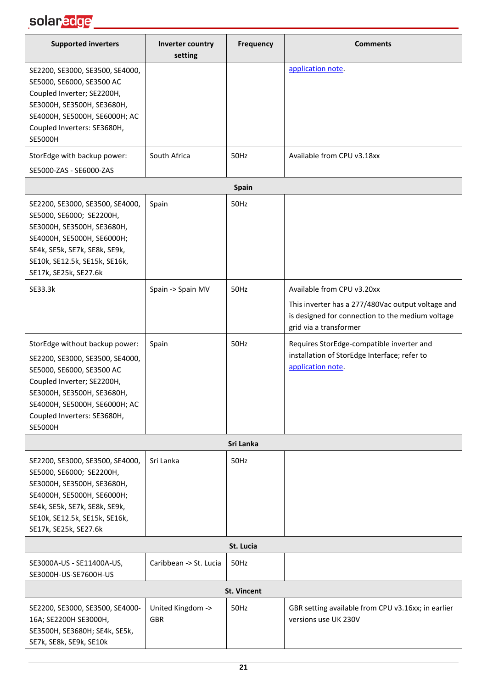| <b>Supported inverters</b>                                                                                                                                                                                                                   | Inverter country<br>setting     | <b>Frequency</b>   | <b>Comments</b>                                                                                                                                               |  |  |
|----------------------------------------------------------------------------------------------------------------------------------------------------------------------------------------------------------------------------------------------|---------------------------------|--------------------|---------------------------------------------------------------------------------------------------------------------------------------------------------------|--|--|
| SE2200, SE3000, SE3500, SE4000,<br>SE5000, SE6000, SE3500 AC<br>Coupled Inverter; SE2200H,<br>SE3000H, SE3500H, SE3680H,<br>SE4000H, SE5000H, SE6000H; AC<br>Coupled Inverters: SE3680H,<br><b>SE5000H</b>                                   |                                 |                    | application note.                                                                                                                                             |  |  |
| StorEdge with backup power:                                                                                                                                                                                                                  | South Africa                    | 50Hz               | Available from CPU v3.18xx                                                                                                                                    |  |  |
| SE5000-ZAS - SE6000-ZAS                                                                                                                                                                                                                      |                                 |                    |                                                                                                                                                               |  |  |
|                                                                                                                                                                                                                                              |                                 | <b>Spain</b>       |                                                                                                                                                               |  |  |
| SE2200, SE3000, SE3500, SE4000,<br>SE5000, SE6000; SE2200H,<br>SE3000H, SE3500H, SE3680H,<br>SE4000H, SE5000H, SE6000H;<br>SE4k, SE5k, SE7k, SE8k, SE9k,<br>SE10k, SE12.5k, SE15k, SE16k,<br>SE17k, SE25k, SE27.6k                           | Spain                           | 50Hz               |                                                                                                                                                               |  |  |
| SE33.3k                                                                                                                                                                                                                                      | Spain -> Spain MV               | 50Hz               | Available from CPU v3.20xx<br>This inverter has a 277/480Vac output voltage and<br>is designed for connection to the medium voltage<br>grid via a transformer |  |  |
| StorEdge without backup power:<br>SE2200, SE3000, SE3500, SE4000,<br>SE5000, SE6000, SE3500 AC<br>Coupled Inverter; SE2200H,<br>SE3000H, SE3500H, SE3680H,<br>SE4000H, SE5000H, SE6000H; AC<br>Coupled Inverters: SE3680H,<br><b>SE5000H</b> | Spain                           | 50Hz               | Requires StorEdge-compatible inverter and<br>installation of StorEdge Interface; refer to<br>application note.                                                |  |  |
|                                                                                                                                                                                                                                              |                                 | Sri Lanka          |                                                                                                                                                               |  |  |
| SE2200, SE3000, SE3500, SE4000,<br>SE5000, SE6000; SE2200H,<br>SE3000H, SE3500H, SE3680H,<br>SE4000H, SE5000H, SE6000H;<br>SE4k, SE5k, SE7k, SE8k, SE9k,<br>SE10k, SE12.5k, SE15k, SE16k,<br>SE17k, SE25k, SE27.6k                           | Sri Lanka                       | 50Hz               |                                                                                                                                                               |  |  |
| St. Lucia                                                                                                                                                                                                                                    |                                 |                    |                                                                                                                                                               |  |  |
| SE3000A-US - SE11400A-US,<br>SE3000H-US-SE7600H-US                                                                                                                                                                                           | Caribbean -> St. Lucia          | 50Hz               |                                                                                                                                                               |  |  |
|                                                                                                                                                                                                                                              |                                 | <b>St. Vincent</b> |                                                                                                                                                               |  |  |
| SE2200, SE3000, SE3500, SE4000-<br>16A; SE2200H SE3000H,<br>SE3500H, SE3680H; SE4k, SE5k,<br>SE7k, SE8k, SE9k, SE10k                                                                                                                         | United Kingdom -><br><b>GBR</b> | 50Hz               | GBR setting available from CPU v3.16xx; in earlier<br>versions use UK 230V                                                                                    |  |  |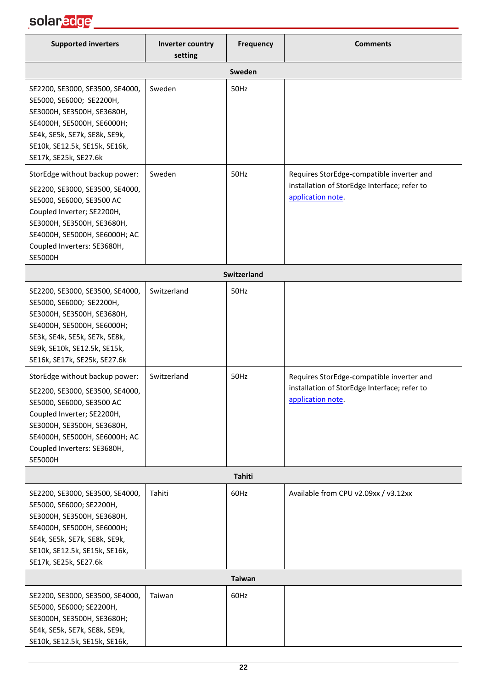## solar<mark>edge</mark> \_\_\_\_\_\_\_\_\_\_\_\_\_\_\_\_\_\_\_

| <b>Supported inverters</b>                                                                                                                                                                                                                                                                                                                                                                                                                             | Inverter country<br>setting | <b>Frequency</b> | <b>Comments</b>                                                                                                |
|--------------------------------------------------------------------------------------------------------------------------------------------------------------------------------------------------------------------------------------------------------------------------------------------------------------------------------------------------------------------------------------------------------------------------------------------------------|-----------------------------|------------------|----------------------------------------------------------------------------------------------------------------|
|                                                                                                                                                                                                                                                                                                                                                                                                                                                        |                             | Sweden           |                                                                                                                |
| SE2200, SE3000, SE3500, SE4000,<br>SE5000, SE6000; SE2200H,<br>SE3000H, SE3500H, SE3680H,<br>SE4000H, SE5000H, SE6000H;<br>SE4k, SE5k, SE7k, SE8k, SE9k,<br>SE10k, SE12.5k, SE15k, SE16k,<br>SE17k, SE25k, SE27.6k                                                                                                                                                                                                                                     | Sweden                      | 50Hz             |                                                                                                                |
| StorEdge without backup power:<br>SE2200, SE3000, SE3500, SE4000,<br>SE5000, SE6000, SE3500 AC<br>Coupled Inverter; SE2200H,<br>SE3000H, SE3500H, SE3680H,<br>SE4000H, SE5000H, SE6000H; AC<br>Coupled Inverters: SE3680H,<br><b>SE5000H</b>                                                                                                                                                                                                           | Sweden                      | 50Hz             | Requires StorEdge-compatible inverter and<br>installation of StorEdge Interface; refer to<br>application note. |
|                                                                                                                                                                                                                                                                                                                                                                                                                                                        |                             | Switzerland      |                                                                                                                |
| SE2200, SE3000, SE3500, SE4000,<br>SE5000, SE6000; SE2200H,<br>SE3000H, SE3500H, SE3680H,<br>SE4000H, SE5000H, SE6000H;<br>SE3k, SE4k, SE5k, SE7k, SE8k,<br>SE9k, SE10k, SE12.5k, SE15k,<br>SE16k, SE17k, SE25k, SE27.6k<br>StorEdge without backup power:<br>SE2200, SE3000, SE3500, SE4000,<br>SE5000, SE6000, SE3500 AC<br>Coupled Inverter; SE2200H,<br>SE3000H, SE3500H, SE3680H,<br>SE4000H, SE5000H, SE6000H; AC<br>Coupled Inverters: SE3680H, | Switzerland<br>Switzerland  | 50Hz<br>50Hz     | Requires StorEdge-compatible inverter and<br>installation of StorEdge Interface; refer to<br>application note  |
| <b>SE5000H</b>                                                                                                                                                                                                                                                                                                                                                                                                                                         |                             |                  |                                                                                                                |
|                                                                                                                                                                                                                                                                                                                                                                                                                                                        |                             | Tahiti           |                                                                                                                |
| SE2200, SE3000, SE3500, SE4000,<br>SE5000, SE6000; SE2200H,<br>SE3000H, SE3500H, SE3680H,<br>SE4000H, SE5000H, SE6000H;<br>SE4k, SE5k, SE7k, SE8k, SE9k,<br>SE10k, SE12.5k, SE15k, SE16k,<br>SE17k, SE25k, SE27.6k                                                                                                                                                                                                                                     | Tahiti                      | 60Hz             | Available from CPU v2.09xx / v3.12xx                                                                           |
|                                                                                                                                                                                                                                                                                                                                                                                                                                                        |                             | <b>Taiwan</b>    |                                                                                                                |
| SE2200, SE3000, SE3500, SE4000,<br>SE5000, SE6000; SE2200H,<br>SE3000H, SE3500H, SE3680H;<br>SE4k, SE5k, SE7k, SE8k, SE9k,<br>SE10k, SE12.5k, SE15k, SE16k,                                                                                                                                                                                                                                                                                            | Taiwan                      | 60Hz             |                                                                                                                |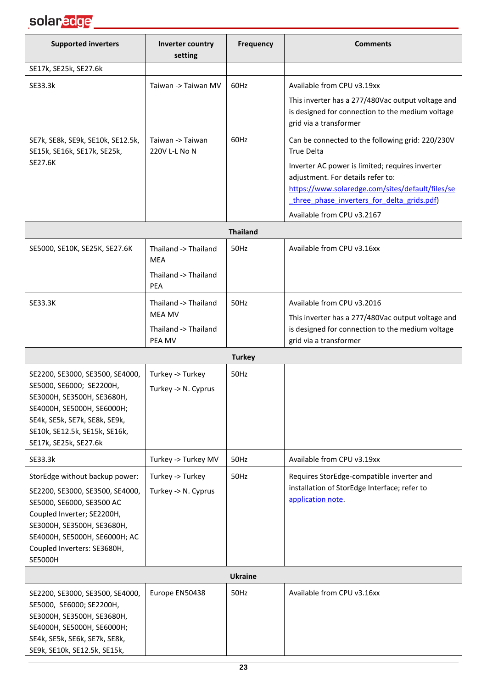

| <b>Supported inverters</b>                                                                                                                                                                                                                   | Inverter country<br>setting                                             | <b>Frequency</b> | <b>Comments</b>                                                                                                                                                                        |
|----------------------------------------------------------------------------------------------------------------------------------------------------------------------------------------------------------------------------------------------|-------------------------------------------------------------------------|------------------|----------------------------------------------------------------------------------------------------------------------------------------------------------------------------------------|
| SE17k, SE25k, SE27.6k                                                                                                                                                                                                                        |                                                                         |                  |                                                                                                                                                                                        |
| SE33.3k                                                                                                                                                                                                                                      | Taiwan -> Taiwan MV                                                     | 60Hz             | Available from CPU v3.19xx                                                                                                                                                             |
|                                                                                                                                                                                                                                              |                                                                         |                  | This inverter has a 277/480Vac output voltage and<br>is designed for connection to the medium voltage<br>grid via a transformer                                                        |
| SE7k, SE8k, SE9k, SE10k, SE12.5k,<br>SE15k, SE16k, SE17k, SE25k,                                                                                                                                                                             | Taiwan -> Taiwan<br>220V L-L No N                                       | 60Hz             | Can be connected to the following grid: 220/230V<br><b>True Delta</b>                                                                                                                  |
| SE27.6K                                                                                                                                                                                                                                      |                                                                         |                  | Inverter AC power is limited; requires inverter<br>adjustment. For details refer to:<br>https://www.solaredge.com/sites/default/files/se<br>three phase inverters for delta grids.pdf) |
|                                                                                                                                                                                                                                              |                                                                         |                  | Available from CPU v3.2167                                                                                                                                                             |
|                                                                                                                                                                                                                                              |                                                                         | <b>Thailand</b>  |                                                                                                                                                                                        |
| SE5000, SE10K, SE25K, SE27.6K                                                                                                                                                                                                                | Thailand -> Thailand<br>MEA<br>Thailand -> Thailand<br>PEA              | 50Hz             | Available from CPU v3.16xx                                                                                                                                                             |
| SE33.3K                                                                                                                                                                                                                                      | Thailand -> Thailand<br><b>MEA MV</b><br>Thailand -> Thailand<br>PEA MV | 50Hz             | Available from CPU v3.2016<br>This inverter has a 277/480Vac output voltage and<br>is designed for connection to the medium voltage<br>grid via a transformer                          |
|                                                                                                                                                                                                                                              |                                                                         | <b>Turkey</b>    |                                                                                                                                                                                        |
| SE2200, SE3000, SE3500, SE4000,<br>SE5000, SE6000; SE2200H,<br>SE3000H, SE3500H, SE3680H,<br>SE4000H, SE5000H, SE6000H;<br>SE4k, SE5k, SE7k, SE8k, SE9k,<br>SE10k, SE12.5k, SE15k, SE16k,<br>SE17k, SE25k, SE27.6k                           | Turkey -> Turkey<br>Turkey -> N. Cyprus                                 | 50Hz             |                                                                                                                                                                                        |
| SE33.3k                                                                                                                                                                                                                                      | Turkey -> Turkey MV                                                     | 50Hz             | Available from CPU v3.19xx                                                                                                                                                             |
| StorEdge without backup power:<br>SE2200, SE3000, SE3500, SE4000,<br>SE5000, SE6000, SE3500 AC<br>Coupled Inverter; SE2200H,<br>SE3000H, SE3500H, SE3680H,<br>SE4000H, SE5000H, SE6000H; AC<br>Coupled Inverters: SE3680H,<br><b>SE5000H</b> | Turkey -> Turkey<br>Turkey -> N. Cyprus                                 | 50Hz             | Requires StorEdge-compatible inverter and<br>installation of StorEdge Interface; refer to<br>application note.                                                                         |
|                                                                                                                                                                                                                                              |                                                                         | <b>Ukraine</b>   |                                                                                                                                                                                        |
| SE2200, SE3000, SE3500, SE4000,<br>SE5000, SE6000; SE2200H,<br>SE3000H, SE3500H, SE3680H,<br>SE4000H, SE5000H, SE6000H;<br>SE4k, SE5k, SE6k, SE7k, SE8k,<br>SE9k, SE10k, SE12.5k, SE15k,                                                     | Europe EN50438                                                          | 50Hz             | Available from CPU v3.16xx                                                                                                                                                             |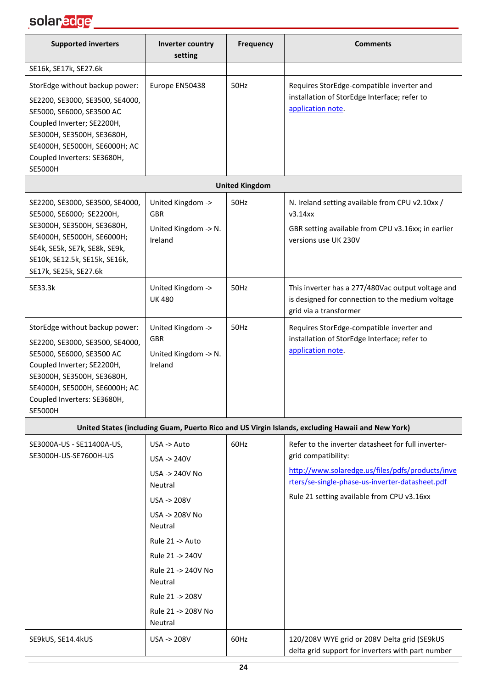| <b>Supported inverters</b>                                                                                                                                                                                                                   | Inverter country<br>setting                                                                                                                                                                                                               | <b>Frequency</b>      | <b>Comments</b>                                                                                                                                                                                                                |
|----------------------------------------------------------------------------------------------------------------------------------------------------------------------------------------------------------------------------------------------|-------------------------------------------------------------------------------------------------------------------------------------------------------------------------------------------------------------------------------------------|-----------------------|--------------------------------------------------------------------------------------------------------------------------------------------------------------------------------------------------------------------------------|
| SE16k, SE17k, SE27.6k                                                                                                                                                                                                                        |                                                                                                                                                                                                                                           |                       |                                                                                                                                                                                                                                |
| StorEdge without backup power:<br>SE2200, SE3000, SE3500, SE4000,<br>SE5000, SE6000, SE3500 AC<br>Coupled Inverter; SE2200H,<br>SE3000H, SE3500H, SE3680H,<br>SE4000H, SE5000H, SE6000H; AC<br>Coupled Inverters: SE3680H,<br><b>SE5000H</b> | Europe EN50438                                                                                                                                                                                                                            | 50Hz                  | Requires StorEdge-compatible inverter and<br>installation of StorEdge Interface; refer to<br>application note.                                                                                                                 |
|                                                                                                                                                                                                                                              |                                                                                                                                                                                                                                           | <b>United Kingdom</b> |                                                                                                                                                                                                                                |
| SE2200, SE3000, SE3500, SE4000,<br>SE5000, SE6000; SE2200H,<br>SE3000H, SE3500H, SE3680H,<br>SE4000H, SE5000H, SE6000H;<br>SE4k, SE5k, SE7k, SE8k, SE9k,<br>SE10k, SE12.5k, SE15k, SE16k,<br>SE17k, SE25k, SE27.6k                           | United Kingdom -><br><b>GBR</b><br>United Kingdom -> N.<br>Ireland                                                                                                                                                                        | 50Hz                  | N. Ireland setting available from CPU v2.10xx /<br>v3.14xx<br>GBR setting available from CPU v3.16xx; in earlier<br>versions use UK 230V                                                                                       |
| SE33.3k                                                                                                                                                                                                                                      | United Kingdom -><br><b>UK 480</b>                                                                                                                                                                                                        | 50Hz                  | This inverter has a 277/480Vac output voltage and<br>is designed for connection to the medium voltage<br>grid via a transformer                                                                                                |
| StorEdge without backup power:<br>SE2200, SE3000, SE3500, SE4000,<br>SE5000, SE6000, SE3500 AC<br>Coupled Inverter; SE2200H,<br>SE3000H, SE3500H, SE3680H,<br>SE4000H, SE5000H, SE6000H; AC<br>Coupled Inverters: SE3680H,<br><b>SE5000H</b> | United Kingdom -><br>GBR<br>United Kingdom -> N.<br>Ireland                                                                                                                                                                               | 50Hz                  | Requires StorEdge-compatible inverter and<br>installation of StorEdge Interface; refer to<br>application note.                                                                                                                 |
|                                                                                                                                                                                                                                              |                                                                                                                                                                                                                                           |                       | United States (including Guam, Puerto Rico and US Virgin Islands, excluding Hawaii and New York)                                                                                                                               |
| SE3000A-US - SE11400A-US,<br>SE3000H-US-SE7600H-US                                                                                                                                                                                           | USA -> Auto<br>$USA \rightarrow 240V$<br>USA -> 240V No<br>Neutral<br>USA -> 208V<br>USA -> 208V No<br>Neutral<br>Rule 21 -> Auto<br>Rule 21 -> 240V<br>Rule 21 -> 240V No<br>Neutral<br>Rule 21 -> 208V<br>Rule 21 -> 208V No<br>Neutral | 60Hz                  | Refer to the inverter datasheet for full inverter-<br>grid compatibility:<br>http://www.solaredge.us/files/pdfs/products/inve<br>rters/se-single-phase-us-inverter-datasheet.pdf<br>Rule 21 setting available from CPU v3.16xx |
| SE9kUS, SE14.4kUS                                                                                                                                                                                                                            | USA -> 208V                                                                                                                                                                                                                               | 60Hz                  | 120/208V WYE grid or 208V Delta grid (SE9kUS<br>delta grid support for inverters with part number                                                                                                                              |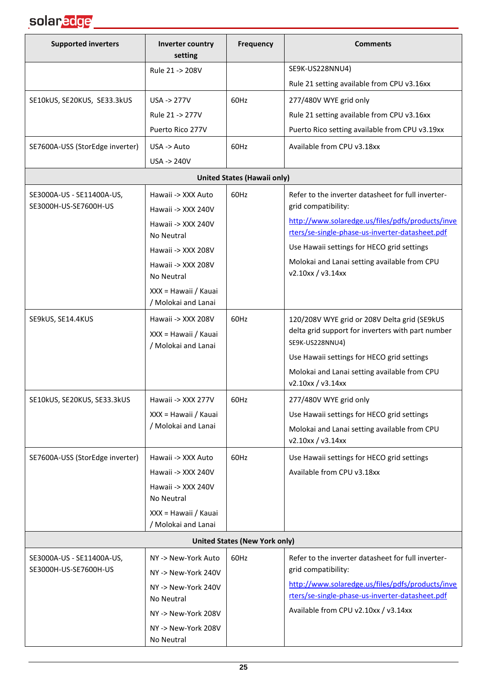

| <b>Supported inverters</b>      | Inverter country<br>setting                 | Frequency                            | <b>Comments</b>                                                                                     |
|---------------------------------|---------------------------------------------|--------------------------------------|-----------------------------------------------------------------------------------------------------|
|                                 | Rule 21 -> 208V                             |                                      | SE9K-US228NNU4)                                                                                     |
|                                 |                                             |                                      | Rule 21 setting available from CPU v3.16xx                                                          |
| SE10kUS, SE20KUS, SE33.3kUS     | $USA \rightarrow 277V$                      | 60Hz                                 | 277/480V WYE grid only                                                                              |
|                                 | Rule 21 -> 277V                             |                                      | Rule 21 setting available from CPU v3.16xx                                                          |
|                                 | Puerto Rico 277V                            |                                      | Puerto Rico setting available from CPU v3.19xx                                                      |
| SE7600A-USS (StorEdge inverter) | USA -> Auto                                 | 60Hz                                 | Available from CPU v3.18xx                                                                          |
|                                 | USA -> 240V                                 |                                      |                                                                                                     |
|                                 |                                             | <b>United States (Hawaii only)</b>   |                                                                                                     |
| SE3000A-US - SE11400A-US,       | Hawaii -> XXX Auto                          | 60Hz                                 | Refer to the inverter datasheet for full inverter-                                                  |
| SE3000H-US-SE7600H-US           | Hawaii -> XXX 240V                          |                                      | grid compatibility:                                                                                 |
|                                 | Hawaii -> XXX 240V<br><b>No Neutral</b>     |                                      | http://www.solaredge.us/files/pdfs/products/inve<br>rters/se-single-phase-us-inverter-datasheet.pdf |
|                                 | Hawaii -> XXX 208V                          |                                      | Use Hawaii settings for HECO grid settings                                                          |
|                                 | Hawaii -> XXX 208V<br><b>No Neutral</b>     |                                      | Molokai and Lanai setting available from CPU<br>v2.10xx / v3.14xx                                   |
|                                 | XXX = Hawaii / Kauai<br>/ Molokai and Lanai |                                      |                                                                                                     |
| SE9kUS, SE14.4KUS               | Hawaii -> XXX 208V                          | 60Hz                                 | 120/208V WYE grid or 208V Delta grid (SE9kUS                                                        |
|                                 | XXX = Hawaii / Kauai<br>/ Molokai and Lanai |                                      | delta grid support for inverters with part number<br>SE9K-US228NNU4)                                |
|                                 |                                             |                                      | Use Hawaii settings for HECO grid settings                                                          |
|                                 |                                             |                                      | Molokai and Lanai setting available from CPU<br>v2.10xx / v3.14xx                                   |
| SE10kUS, SE20KUS, SE33.3kUS     | Hawaii -> XXX 277V                          | 60Hz                                 | 277/480V WYE grid only                                                                              |
|                                 | XXX = Hawaii / Kauai                        |                                      | Use Hawaii settings for HECO grid settings                                                          |
|                                 | / Molokai and Lanai                         |                                      | Molokai and Lanai setting available from CPU<br>v2.10xx / v3.14xx                                   |
| SE7600A-USS (StorEdge inverter) | Hawaii -> XXX Auto                          | 60Hz                                 | Use Hawaii settings for HECO grid settings                                                          |
|                                 | Hawaii -> XXX 240V                          |                                      | Available from CPU v3.18xx                                                                          |
|                                 | Hawaii -> XXX 240V<br>No Neutral            |                                      |                                                                                                     |
|                                 | XXX = Hawaii / Kauai<br>/ Molokai and Lanai |                                      |                                                                                                     |
|                                 |                                             | <b>United States (New York only)</b> |                                                                                                     |
| SE3000A-US - SE11400A-US,       | NY -> New-York Auto                         | 60Hz                                 | Refer to the inverter datasheet for full inverter-                                                  |
| SE3000H-US-SE7600H-US           | NY-> New-York 240V                          |                                      | grid compatibility:                                                                                 |
|                                 | NY-> New-York 240V                          |                                      | http://www.solaredge.us/files/pdfs/products/inve                                                    |
|                                 | No Neutral                                  |                                      | rters/se-single-phase-us-inverter-datasheet.pdf                                                     |
|                                 | NY-> New-York 208V                          |                                      | Available from CPU v2.10xx / v3.14xx                                                                |
|                                 | NY-> New-York 208V<br>No Neutral            |                                      |                                                                                                     |